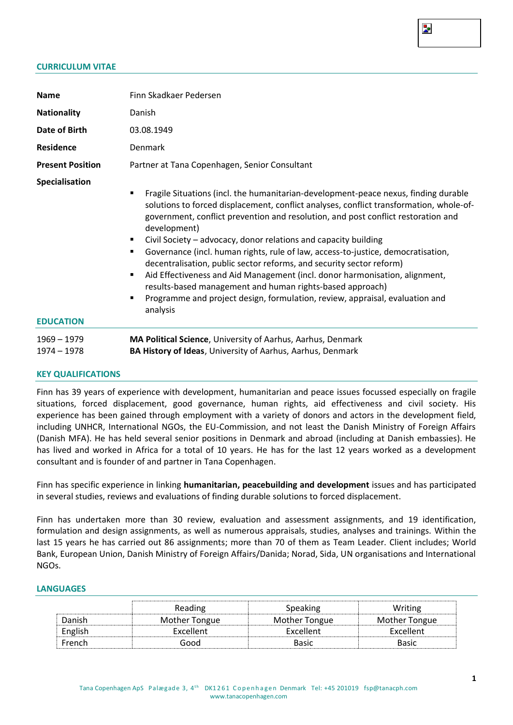#### **CURRICULUM VITAE**

| <b>Name</b>                        | Finn Skadkaer Pedersen                                                                                                                                                                                                                                                                                                                                                                                                                                                                                                                                                                                                                                                                                                                                                              |  |  |  |  |  |  |  |
|------------------------------------|-------------------------------------------------------------------------------------------------------------------------------------------------------------------------------------------------------------------------------------------------------------------------------------------------------------------------------------------------------------------------------------------------------------------------------------------------------------------------------------------------------------------------------------------------------------------------------------------------------------------------------------------------------------------------------------------------------------------------------------------------------------------------------------|--|--|--|--|--|--|--|
| <b>Nationality</b>                 | Danish                                                                                                                                                                                                                                                                                                                                                                                                                                                                                                                                                                                                                                                                                                                                                                              |  |  |  |  |  |  |  |
| Date of Birth                      | 03.08.1949                                                                                                                                                                                                                                                                                                                                                                                                                                                                                                                                                                                                                                                                                                                                                                          |  |  |  |  |  |  |  |
| Residence                          | Denmark                                                                                                                                                                                                                                                                                                                                                                                                                                                                                                                                                                                                                                                                                                                                                                             |  |  |  |  |  |  |  |
| <b>Present Position</b>            | Partner at Tana Copenhagen, Senior Consultant                                                                                                                                                                                                                                                                                                                                                                                                                                                                                                                                                                                                                                                                                                                                       |  |  |  |  |  |  |  |
| Specialisation<br><b>EDUCATION</b> | Fragile Situations (incl. the humanitarian-development-peace nexus, finding durable<br>٠<br>solutions to forced displacement, conflict analyses, conflict transformation, whole-of-<br>government, conflict prevention and resolution, and post conflict restoration and<br>development)<br>Civil Society - advocacy, donor relations and capacity building<br>٠<br>Governance (incl. human rights, rule of law, access-to-justice, democratisation,<br>٠<br>decentralisation, public sector reforms, and security sector reform)<br>Aid Effectiveness and Aid Management (incl. donor harmonisation, alignment,<br>٠<br>results-based management and human rights-based approach)<br>Programme and project design, formulation, review, appraisal, evaluation and<br>٠<br>analysis |  |  |  |  |  |  |  |
| 1969 – 1979<br>$1974 - 1978$       | MA Political Science, University of Aarhus, Aarhus, Denmark<br>BA History of Ideas, University of Aarhus, Aarhus, Denmark                                                                                                                                                                                                                                                                                                                                                                                                                                                                                                                                                                                                                                                           |  |  |  |  |  |  |  |

#### **KEY QUALIFICATIONS**

Finn has 39 years of experience with development, humanitarian and peace issues focussed especially on fragile situations, forced displacement, good governance, human rights, aid effectiveness and civil society. His experience has been gained through employment with a variety of donors and actors in the development field, including UNHCR, International NGOs, the EU-Commission, and not least the Danish Ministry of Foreign Affairs (Danish MFA). He has held several senior positions in Denmark and abroad (including at Danish embassies). He has lived and worked in Africa for a total of 10 years. He has for the last 12 years worked as a development consultant and is founder of and partner in Tana Copenhagen.

Finn has specific experience in linking **humanitarian, peacebuilding and development** issues and has participated in several studies, reviews and evaluations of finding durable solutions to forced displacement.

Finn has undertaken more than 30 review, evaluation and assessment assignments, and 19 identification, formulation and design assignments, as well as numerous appraisals, studies, analyses and trainings. Within the last 15 years he has carried out 86 assignments; more than 70 of them as Team Leader. Client includes; World Bank, European Union, Danish Ministry of Foreign Affairs/Danida; Norad, Sida, UN organisations and International NGOs.

#### **LANGUAGES**

|         | Reading       | <b>Speaking</b> | Writing       |
|---------|---------------|-----------------|---------------|
| Danish  | Mother Tongue | Mother Tongue   | Mother Tongue |
| English | Excellent     | Excellent       | Excellent     |
| French  | Good          | Basic           | Basic         |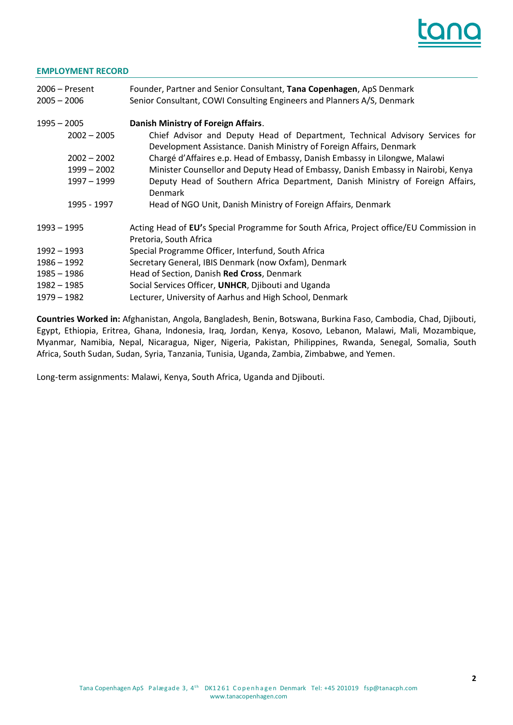

#### **EMPLOYMENT RECORD**

| $2006 -$ Present<br>$2005 - 2006$ | Founder, Partner and Senior Consultant, Tana Copenhagen, ApS Denmark<br>Senior Consultant, COWI Consulting Engineers and Planners A/S, Denmark      |
|-----------------------------------|-----------------------------------------------------------------------------------------------------------------------------------------------------|
| $1995 - 2005$                     | <b>Danish Ministry of Foreign Affairs.</b>                                                                                                          |
| $2002 - 2005$                     | Chief Advisor and Deputy Head of Department, Technical Advisory Services for<br>Development Assistance. Danish Ministry of Foreign Affairs, Denmark |
| $2002 - 2002$                     | Chargé d'Affaires e.p. Head of Embassy, Danish Embassy in Lilongwe, Malawi                                                                          |
| $1999 - 2002$                     | Minister Counsellor and Deputy Head of Embassy, Danish Embassy in Nairobi, Kenya                                                                    |
| 1997 - 1999                       | Deputy Head of Southern Africa Department, Danish Ministry of Foreign Affairs,<br><b>Denmark</b>                                                    |
| 1995 - 1997                       | Head of NGO Unit, Danish Ministry of Foreign Affairs, Denmark                                                                                       |
| $1993 - 1995$                     | Acting Head of EU's Special Programme for South Africa, Project office/EU Commission in<br>Pretoria, South Africa                                   |
| 1992 - 1993                       | Special Programme Officer, Interfund, South Africa                                                                                                  |
| 1986 - 1992                       | Secretary General, IBIS Denmark (now Oxfam), Denmark                                                                                                |
| 1985 - 1986                       | Head of Section, Danish Red Cross, Denmark                                                                                                          |
| 1982 - 1985                       | Social Services Officer, UNHCR, Djibouti and Uganda                                                                                                 |
| 1979 – 1982                       | Lecturer, University of Aarhus and High School, Denmark                                                                                             |

**Countries Worked in:** Afghanistan, Angola, Bangladesh, Benin, Botswana, Burkina Faso, Cambodia, Chad, Djibouti, Egypt, Ethiopia, Eritrea, Ghana, Indonesia, Iraq, Jordan, Kenya, Kosovo, Lebanon, Malawi, Mali, Mozambique, Myanmar, Namibia, Nepal, Nicaragua, Niger, Nigeria, Pakistan, Philippines, Rwanda, Senegal, Somalia, South Africa, South Sudan, Sudan, Syria, Tanzania, Tunisia, Uganda, Zambia, Zimbabwe, and Yemen.

Long-term assignments: Malawi, Kenya, South Africa, Uganda and Djibouti.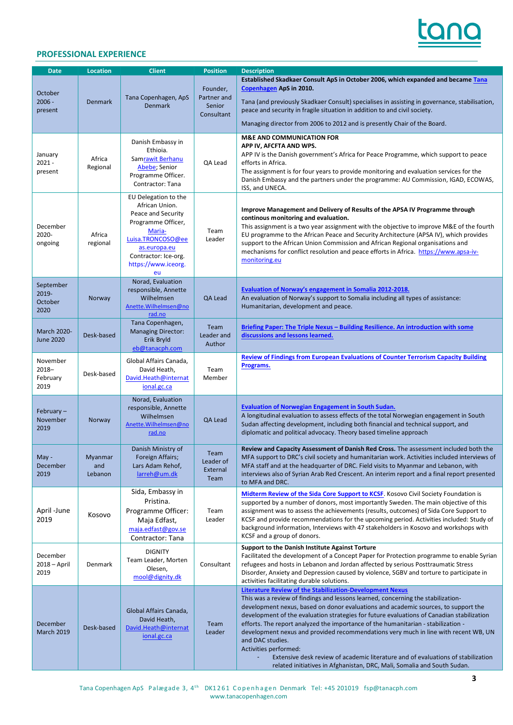

#### **PROFESSIONAL EXPERIENCE**

| <b>Date</b>                                  | <b>Location</b>           | <b>Client</b>                                                                                                                                                                          | <b>Position</b>                                 | <b>Description</b>                                                                                                                                                                                                                                                                                                                                                                                                                                                                                                                                                                                                                                                                                                             |
|----------------------------------------------|---------------------------|----------------------------------------------------------------------------------------------------------------------------------------------------------------------------------------|-------------------------------------------------|--------------------------------------------------------------------------------------------------------------------------------------------------------------------------------------------------------------------------------------------------------------------------------------------------------------------------------------------------------------------------------------------------------------------------------------------------------------------------------------------------------------------------------------------------------------------------------------------------------------------------------------------------------------------------------------------------------------------------------|
| October<br>$2006 -$<br>present               | <b>Denmark</b>            | Tana Copenhagen, ApS<br><b>Denmark</b>                                                                                                                                                 | Founder,<br>Partner and<br>Senior<br>Consultant | Established Skadkaer Consult ApS in October 2006, which expanded and became Tana<br>Copenhagen ApS in 2010.<br>Tana (and previously Skadkaer Consult) specialises in assisting in governance, stabilisation,<br>peace and security in fragile situation in addition to and civil society.                                                                                                                                                                                                                                                                                                                                                                                                                                      |
|                                              |                           |                                                                                                                                                                                        |                                                 | Managing director from 2006 to 2012 and is presently Chair of the Board.                                                                                                                                                                                                                                                                                                                                                                                                                                                                                                                                                                                                                                                       |
| January<br>$2021 -$<br>present               | Africa<br>Regional        | Danish Embassy in<br>Ethioia.<br>Samrawit Berhanu<br>Abebe; Senior<br>Programme Officer.<br>Contractor: Tana                                                                           | QA Lead                                         | <b>M&amp;E AND COMMUNICATION FOR</b><br>APP IV, AFCFTA AND WPS.<br>APP IV is the Danish government's Africa for Peace Programme, which support to peace<br>efforts in Africa.<br>The assignment is for four years to provide monitoring and evaluation services for the<br>Danish Embassy and the partners under the programme: AU Commission, IGAD, ECOWAS,<br>ISS, and UNECA.                                                                                                                                                                                                                                                                                                                                                |
| December<br>2020-<br>ongoing                 | Africa<br>regional        | EU Delegation to the<br>African Union.<br>Peace and Security<br>Programme Officer,<br>Maria-<br>Luisa.TRONCOSO@ee<br>as.europa.eu<br>Contractor: Ice-org.<br>https://www.iceorg.<br>eu | Team<br>Leader                                  | Improve Management and Delivery of Results of the APSA IV Programme through<br>continous monitoring and evaluation.<br>This assignment is a two year assignment with the objective to improve M&E of the fourth<br>EU programme to the African Peace and Security Architecture (APSA IV), which provides<br>support to the African Union Commission and African Regional organisations and<br>mechanisms for conflict resolution and peace efforts in Africa. https://www.apsa-iv-<br>monitoring.eu                                                                                                                                                                                                                            |
| September<br>2019-<br><b>October</b><br>2020 | Norway                    | Norad, Evaluation<br>responsible, Annette<br>Wilhelmsen<br>Anette. Wilhelmsen@no<br>rad.no                                                                                             | QA Lead                                         | <b>Evaluation of Norway's engagement in Somalia 2012-2018.</b><br>An evaluation of Norway's support to Somalia including all types of assistance:<br>Humanitarian, development and peace.                                                                                                                                                                                                                                                                                                                                                                                                                                                                                                                                      |
| March 2020-<br><b>June 2020</b>              | Desk-based                | Tana Copenhagen,<br><b>Managing Director:</b><br>Erik Bryld<br>eb@tanacph.com                                                                                                          | Team<br>Leader and<br>Author                    | <u><b>Briefing Paper: The Triple Nexus – Building Resilience. An introduction with some</b></u><br>discussions and lessons learned.                                                                                                                                                                                                                                                                                                                                                                                                                                                                                                                                                                                            |
| November<br>$2018 -$<br>February<br>2019     | Desk-based                | Global Affairs Canada,<br>David Heath,<br>David.Heath@internat<br>ional.gc.ca                                                                                                          | Team<br>Member                                  | <b>Review of Findings from European Evaluations of Counter Terrorism Capacity Building</b><br>Programs.                                                                                                                                                                                                                                                                                                                                                                                                                                                                                                                                                                                                                        |
| February $-$<br>November<br>2019             | Norway                    | Norad, Evaluation<br>responsible, Annette<br>Wilhelmsen<br>Anette. Wilhelmsen@no<br>rad.no                                                                                             | QA Lead                                         | <b>Evaluation of Norwegian Engagement in South Sudan.</b><br>A longitudinal evaluation to assess effects of the total Norwegian engagement in South<br>Sudan affecting development, including both financial and technical support, and<br>diplomatic and political advocacy. Theory based timeline approach                                                                                                                                                                                                                                                                                                                                                                                                                   |
| May -<br>December<br>2019                    | Myanmar<br>and<br>Lebanon | Danish Ministry of<br>Foreign Affairs;<br>Lars Adam Rehof,<br>larreh@um.dk                                                                                                             | Team<br>Leader of<br>External<br>Team           | <b>Review and Capacity Assessment of Danish Red Cross.</b> The assessment included both the<br>MFA support to DRC's civil society and humanitarian work. Activities included interviews of<br>MFA staff and at the headquarter of DRC. Field visits to Myanmar and Lebanon, with<br>interviews also of Syrian Arab Red Crescent. An interim report and a final report presented<br>to MFA and DRC.                                                                                                                                                                                                                                                                                                                             |
| April -June<br>2019                          | Kosovo                    | Sida, Embassy in<br>Pristina.<br>Programme Officer:<br>Maja Edfast,<br>maja.edfast@gov.se<br>Contractor: Tana                                                                          | Team<br>Leader                                  | Midterm Review of the Sida Core Support to KCSF. Kosovo Civil Society Foundation is<br>supported by a number of donors, most importantly Sweden. The main objective of this<br>assignment was to assess the achievements (results, outcomes) of Sida Core Support to<br>KCSF and provide recommendations for the upcoming period. Activities included: Study of<br>background information, Interviews with 47 stakeholders in Kosovo and workshops with<br>KCSF and a group of donors.                                                                                                                                                                                                                                         |
| December<br>$2018 - April$<br>2019           | Denmark                   | <b>DIGNITY</b><br>Team Leader, Morten<br>Olesen,<br>mool@dignity.dk                                                                                                                    | Consultant                                      | <b>Support to the Danish Institute Against Torture</b><br>Facilitated the development of a Concept Paper for Protection programme to enable Syrian<br>refugees and hosts in Lebanon and Jordan affected by serious Posttraumatic Stress<br>Disorder, Anxiety and Depression caused by violence, SGBV and torture to participate in<br>activities facilitating durable solutions.                                                                                                                                                                                                                                                                                                                                               |
| December<br><b>March 2019</b>                | Desk-based                | Global Affairs Canada,<br>David Heath,<br>David.Heath@internat<br>ional.gc.ca                                                                                                          | Team<br>Leader                                  | <b>Literature Review of the Stabilization-Development Nexus</b><br>This was a review of findings and lessons learned, concerning the stabilization-<br>development nexus, based on donor evaluations and academic sources, to support the<br>development of the evaluation strategies for future evaluations of Canadian stabilization<br>efforts. The report analyzed the importance of the humanitarian - stabilization -<br>development nexus and provided recommendations very much in line with recent WB, UN<br>and DAC studies.<br>Activities performed:<br>Extensive desk review of academic literature and of evaluations of stabilization<br>related initiatives in Afghanistan, DRC, Mali, Somalia and South Sudan. |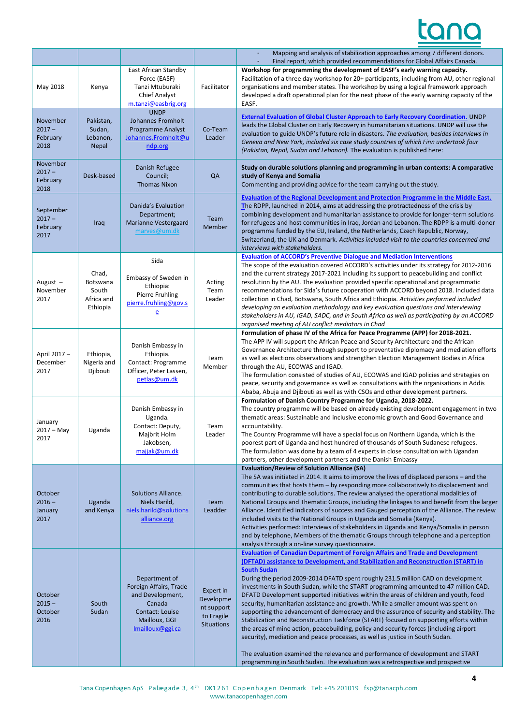|                                           |                                                      |                                                                                                                               |                                                                         | Mapping and analysis of stabilization approaches among 7 different donors.<br>Final report, which provided recommendations for Global Affairs Canada.                                                                                                                                                                                                                                                                                                                                                                                                                                                                                                                                                                                                                                                                                                                                                                                                                                                                                                                                          |
|-------------------------------------------|------------------------------------------------------|-------------------------------------------------------------------------------------------------------------------------------|-------------------------------------------------------------------------|------------------------------------------------------------------------------------------------------------------------------------------------------------------------------------------------------------------------------------------------------------------------------------------------------------------------------------------------------------------------------------------------------------------------------------------------------------------------------------------------------------------------------------------------------------------------------------------------------------------------------------------------------------------------------------------------------------------------------------------------------------------------------------------------------------------------------------------------------------------------------------------------------------------------------------------------------------------------------------------------------------------------------------------------------------------------------------------------|
| May 2018                                  | Kenya                                                | East African Standby<br>Force (EASF)<br>Tanzi Mtuburaki<br><b>Chief Analyst</b><br>m.tanzi@easbrig.org                        | Facilitator                                                             | Workshop for programming the development of EASF's early warning capacity.<br>Facilitation of a three day workshop for 20+ participants, including from AU, other regional<br>organisations and member states. The workshop by using a logical framework approach<br>developed a draft operational plan for the next phase of the early warning capacity of the<br>EASF.                                                                                                                                                                                                                                                                                                                                                                                                                                                                                                                                                                                                                                                                                                                       |
| November<br>$2017 -$<br>February<br>2018  | Pakistan,<br>Sudan,<br>Lebanon,<br><b>Nepal</b>      | <b>UNDP</b><br>Johannes Fromholt<br>Programme Analyst<br>Johannes.Fromholt@u<br>ndp.org                                       | Co-Team<br>Leader                                                       | <b>External Evaluation of Global Cluster Approach to Early Recovery Coordination. UNDP</b><br>leads the Global Cluster on Early Recovery in humanitarian situations. UNDP will use the<br>evaluation to guide UNDP's future role in disasters. The evaluation, besides interviews in<br>Geneva and New York, included six case study countries of which Finn undertook four<br>(Pakistan, Nepal, Sudan and Lebanon). The evaluation is published here:                                                                                                                                                                                                                                                                                                                                                                                                                                                                                                                                                                                                                                         |
| November<br>$2017 -$<br>February<br>2018  | Desk-based                                           | Danish Refugee<br>Council;<br><b>Thomas Nixon</b>                                                                             | QA                                                                      | Study on durable solutions planning and programming in urban contexts: A comparative<br>study of Kenya and Somalia<br>Commenting and providing advice for the team carrying out the study.                                                                                                                                                                                                                                                                                                                                                                                                                                                                                                                                                                                                                                                                                                                                                                                                                                                                                                     |
| September<br>$2017 -$<br>February<br>2017 | Iraq                                                 | Danida's Evaluation<br>Department;<br>Marianne Vestergaard<br>marves@um.dk                                                    | Team<br>Member                                                          | <b>Evaluation of the Regional Development and Protection Programme in the Middle East.</b><br>The RDPP, launched in 2014, aims at addressing the protractedness of the crisis by<br>combining development and humanitarian assistance to provide for longer-term solutions<br>for refugees and host communities in Iraq, Jordan and Lebanon. The RDPP is a multi-donor<br>programme funded by the EU, Ireland, the Netherlands, Czech Republic, Norway,<br>Switzerland, the UK and Denmark. Activities included visit to the countries concerned and<br>interviews with stakeholders.                                                                                                                                                                                                                                                                                                                                                                                                                                                                                                          |
| August $-$<br>November<br>2017            | Chad,<br>Botswana<br>South<br>Africa and<br>Ethiopia | Sida<br>Embassy of Sweden in<br>Ethiopia:<br>Pierre Fruhling<br>pierre.fruhling@gov.s<br>ē                                    | Acting<br>Team<br>Leader                                                | <b>Evaluation of ACCORD's Preventive Dialogue and Mediation Interventions</b><br>The scope of the evaluation covered ACCORD's activities under its strategy for 2012-2016<br>and the current strategy 2017-2021 including its support to peacebuilding and conflict<br>resolution by the AU. The evaluation provided specific operational and programmatic<br>recommendations for Sida's future cooperation with ACCORD beyond 2018. Included data<br>collection in Chad, Botswana, South Africa and Ethiopia. Activities performed included<br>developing an evaluation methodology and key evaluation questions and interviewing<br>stakeholders in AU, IGAD, SADC, and in South Africa as well as participating by an ACCORD<br>organised meeting of AU conflict mediators in Chad                                                                                                                                                                                                                                                                                                          |
| April 2017-<br>December<br>2017           | Ethiopia,<br>Nigeria and<br>Djibouti                 | Danish Embassy in<br>Ethiopia.<br>Contact: Programme<br>Officer, Peter Lassen,<br>petlas@um.dk                                | Team<br>Member                                                          | Formulation of phase IV of the Africa for Peace Programme (APP) for 2018-2021.<br>The APP IV will support the African Peace and Security Architecture and the African<br>Governance Architecture through support to preventative diplomacy and mediation efforts<br>as well as elections observations and strengthen Election Management Bodies in Africa<br>through the AU, ECOWAS and IGAD.<br>The formulation consisted of studies of AU, ECOWAS and IGAD policies and strategies on<br>peace, security and governance as well as consultations with the organisations in Addis<br>Ababa, Abuja and Djibouti as well as with CSOs and other development partners.                                                                                                                                                                                                                                                                                                                                                                                                                           |
| January<br>$2017 - May$<br>2017           | Uganda                                               | Danish Embassy in<br>Uganda.<br>Contact: Deputy,<br>Majbrit Holm<br>Jakobsen,<br>majjak@um.dk                                 | Team<br>Leader                                                          | Formulation of Danish Country Programme for Uganda, 2018-2022.<br>The country programme will be based on already existing development engagement in two<br>thematic areas: Sustainable and inclusive economic growth and Good Governance and<br>accountability.<br>The Country Programme will have a special focus on Northern Uganda, which is the<br>poorest part of Uganda and host hundred of thousands of South Sudanese refugees.<br>The formulation was done by a team of 4 experts in close consultation with Ugandan<br>partners, other development partners and the Danish Embassy                                                                                                                                                                                                                                                                                                                                                                                                                                                                                                   |
| October<br>$2016 -$<br>January<br>2017    | Uganda<br>and Kenya                                  | <b>Solutions Alliance.</b><br>Niels Harild,<br>niels.harild@solutions<br>alliance.org                                         | Team<br>Leadder                                                         | <b>Evaluation/Review of Solution Alliance (SA)</b><br>The SA was initiated in 2014. It aims to improve the lives of displaced persons – and the<br>communities that hosts them - by responding more collaboratively to displacement and<br>contributing to durable solutions. The review analysed the operational modalities of<br>National Groups and Thematic Groups, including the linkages to and benefit from the larger<br>Alliance. Identified indicators of success and Gauged perception of the Alliance. The review<br>included visits to the National Groups in Uganda and Somalia (Kenya).<br>Activities performed: Interviews of stakeholders in Uganda and Kenya/Somalia in person<br>and by telephone, Members of the thematic Groups through telephone and a perception<br>analysis through a on-line survey questionnaire.                                                                                                                                                                                                                                                    |
| October<br>$2015 -$<br>October<br>2016    | South<br>Sudan                                       | Department of<br>Foreign Affairs, Trade<br>and Development,<br>Canada<br>Contact: Louise<br>Mailloux, GGI<br>Imailloux@ggi.ca | Expert in<br>Developme<br>nt support<br>to Fragile<br><b>Situations</b> | <b>Evaluation of Canadian Department of Foreign Affairs and Trade and Development</b><br>(DFTAD) assistance to Development, and Stabilization and Reconstruction (START) in<br><b>South Sudan</b><br>During the period 2009-2014 DFATD spent roughly 231.5 million CAD on development<br>investments in South Sudan, while the START programming amounted to 47 million CAD.<br>DFATD Development supported initiatives within the areas of children and youth, food<br>security, humanitarian assistance and growth. While a smaller amount was spent on<br>supporting the advancement of democracy and the assurance of security and stability. The<br>Stabilization and Reconstruction Taskforce (START) focused on supporting efforts within<br>the areas of mine action, peacebuilding, policy and security forces (including airport<br>security), mediation and peace processes, as well as justice in South Sudan.<br>The evaluation examined the relevance and performance of development and START<br>programming in South Sudan. The evaluation was a retrospective and prospective |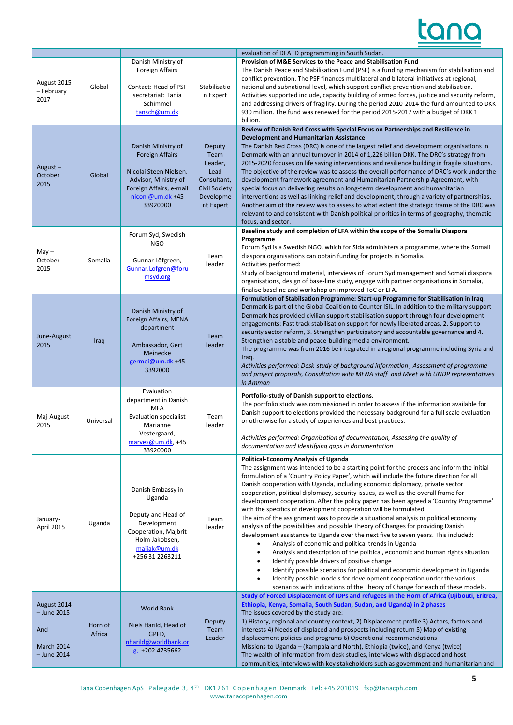

|                                                                           |                   |                                                                                                                                                           |                                                                                                    | evaluation of DFATD programming in South Sudan.                                                                                                                                                                                                                                                                                                                                                                                                                                                                                                                                                                                                                                                                                                                                                                                                                                                                                                                                                                                                                                                                                                                                                                                                                                                                 |
|---------------------------------------------------------------------------|-------------------|-----------------------------------------------------------------------------------------------------------------------------------------------------------|----------------------------------------------------------------------------------------------------|-----------------------------------------------------------------------------------------------------------------------------------------------------------------------------------------------------------------------------------------------------------------------------------------------------------------------------------------------------------------------------------------------------------------------------------------------------------------------------------------------------------------------------------------------------------------------------------------------------------------------------------------------------------------------------------------------------------------------------------------------------------------------------------------------------------------------------------------------------------------------------------------------------------------------------------------------------------------------------------------------------------------------------------------------------------------------------------------------------------------------------------------------------------------------------------------------------------------------------------------------------------------------------------------------------------------|
| August 2015<br>- February<br>2017                                         | Global            | Danish Ministry of<br><b>Foreign Affairs</b><br>Contact: Head of PSF<br>secretariat: Tania<br>Schimmel<br>tansch@um.dk                                    | Stabilisatio<br>n Expert                                                                           | Provision of M&E Services to the Peace and Stabilisation Fund<br>The Danish Peace and Stabilisation Fund (PSF) is a funding mechanism for stabilisation and<br>conflict prevention. The PSF finances multilateral and bilateral initiatives at regional,<br>national and subnational level, which support conflict prevention and stabilisation.<br>Activities supported include, capacity building of armed forces, justice and security reform,<br>and addressing drivers of fragility. During the period 2010-2014 the fund amounted to DKK<br>930 million. The fund was renewed for the period 2015-2017 with a budget of DKK 1<br>billion.                                                                                                                                                                                                                                                                                                                                                                                                                                                                                                                                                                                                                                                                 |
| August-<br>October<br>2015                                                | Global            | Danish Ministry of<br><b>Foreign Affairs</b><br>Nicolai Steen Nielsen.<br>Advisor, Ministry of<br>Foreign Affairs, e-mail<br>niconi@um.dk +45<br>33920000 | Deputy<br>Team<br>Leader,<br>Lead<br>Consultant,<br><b>Civil Society</b><br>Developme<br>nt Expert | Review of Danish Red Cross with Special Focus on Partnerships and Resilience in<br>Development and Humanitarian Assistance<br>The Danish Red Cross (DRC) is one of the largest relief and development organisations in<br>Denmark with an annual turnover in 2014 of 1,226 billion DKK. The DRC's strategy from<br>2015-2020 focuses on life saving interventions and resilience building in fragile situations.<br>The objective of the review was to assess the overall performance of DRC's work under the<br>development framework agreement and Humanitarian Partnership Agreement, with<br>special focus on delivering results on long-term development and humanitarian<br>interventions as well as linking relief and development, through a variety of partnerships.<br>Another aim of the review was to assess to what extent the strategic frame of the DRC was<br>relevant to and consistent with Danish political priorities in terms of geography, thematic<br>focus, and sector.                                                                                                                                                                                                                                                                                                                 |
| $May -$<br>October<br>2015                                                | Somalia           | Forum Syd, Swedish<br><b>NGO</b><br>Gunnar Löfgreen,<br>Gunnar.Lofgren@foru<br>msyd.org                                                                   | Team<br>leader                                                                                     | Baseline study and completion of LFA within the scope of the Somalia Diaspora<br>Programme<br>Forum Syd is a Swedish NGO, which for Sida administers a programme, where the Somali<br>diaspora organisations can obtain funding for projects in Somalia.<br>Activities performed:<br>Study of background material, interviews of Forum Syd management and Somali diaspora<br>organisations, design of base-line study, engage with partner organisations in Somalia,<br>finalise baseline and workshop an improved ToC or LFA.                                                                                                                                                                                                                                                                                                                                                                                                                                                                                                                                                                                                                                                                                                                                                                                  |
| June-August<br>2015                                                       | Iraq              | Danish Ministry of<br>Foreign Affairs, MENA<br>department<br>Ambassador, Gert<br>Meinecke<br>germei@um.dk +45<br>3392000                                  | Team<br>leader                                                                                     | Formulation of Stabilsation Programme: Start-up Programme for Stabilisation in Iraq.<br>Denmark is part of the Global Coalition to Counter ISIL. In addition to the military support<br>Denmark has provided civilian support stabilisation support through four development<br>engagements: Fast track stabilisation support for newly liberated areas, 2. Support to<br>security sector reform, 3. Strengthen participatory and accountable governance and 4.<br>Strengthen a stable and peace-building media environment.<br>The programme was from 2016 be integrated in a regional programme including Syria and<br>Iraq.<br>Activities performed: Desk-study of background information, Assessment of programme<br>and project proposals, Consultation with MENA staff and Meet with UNDP representatives<br>in Amman                                                                                                                                                                                                                                                                                                                                                                                                                                                                                     |
| Maj-August<br>2015                                                        | Universal         | Evaluation<br>department in Danish<br><b>MFA</b><br><b>Evaluation specialist</b><br>Marianne<br>Vestergaard,<br>marves@um.dk, +45<br>33920000             | Team<br>leader                                                                                     | Portfolio-study of Danish support to elections.<br>The portfolio study was commissioned in order to assess if the information available for<br>Danish support to elections provided the necessary background for a full scale evaluation<br>or otherwise for a study of experiences and best practices.<br>Activities performed: Organisation of documentation, Assessing the quality of<br>documentation and Identifying gaps in documentation                                                                                                                                                                                                                                                                                                                                                                                                                                                                                                                                                                                                                                                                                                                                                                                                                                                                 |
| January-<br>April 2015                                                    | Uganda            | Danish Embassy in<br>Uganda<br>Deputy and Head of<br>Development<br>Cooperation, Majbrit<br>Holm Jakobsen,<br>majjak@um.dk<br>+256 31 2263211             | Team<br>leader                                                                                     | Political-Economy Analysis of Uganda<br>The assignment was intended to be a starting point for the process and inform the initial<br>formulation of a 'Country Policy Paper', which will include the future direction for all<br>Danish cooperation with Uganda, including economic diplomacy, private sector<br>cooperation, political diplomacy, security issues, as well as the overall frame for<br>development cooperation. After the policy paper has been agreed a 'Country Programme'<br>with the specifics of development cooperation will be formulated.<br>The aim of the assignment was to provide a situational analysis or political economy<br>analysis of the possibilities and possible Theory of Changes for providing Danish<br>development assistance to Uganda over the next five to seven years. This included:<br>Analysis of economic and political trends in Uganda<br>Analysis and description of the political, economic and human rights situation<br>$\bullet$<br>Identify possible drivers of positive change<br>$\bullet$<br>Identify possible scenarios for political and economic development in Uganda<br>Identify possible models for development cooperation under the various<br>$\bullet$<br>scenarios with indications of the Theory of Change for each of these models. |
| August 2014<br>$-$ June 2015<br>And<br><b>March 2014</b><br>$-$ June 2014 | Horn of<br>Africa | <b>World Bank</b><br>Niels Harild, Head of<br>GPFD,<br>nharild@worldbank.or<br>$g$ , +202 4735662                                                         | Deputy<br>Team<br>Leader                                                                           | Study of Forced Displacement of IDPs and refugees in the Horn of Africa (Djibouti, Eritrea,<br>Ethiopia, Kenya, Somalia, South Sudan, Sudan, and Uganda) in 2 phases<br>The issues covered by the study are:<br>1) History, regional and country context, 2) Displacement profile 3) Actors, factors and<br>interests 4) Needs of displaced and prospects including return 5) Map of existing<br>displacement policies and programs 6) Operational recommendations<br>Missions to Uganda - (Kampala and North), Ethiopia (twice), and Kenya (twice)<br>The wealth of information from desk studies, interviews with displaced and host<br>communities, interviews with key stakeholders such as government and humanitarian and                                                                                                                                                                                                                                                                                                                                                                                                                                                                                                                                                                                 |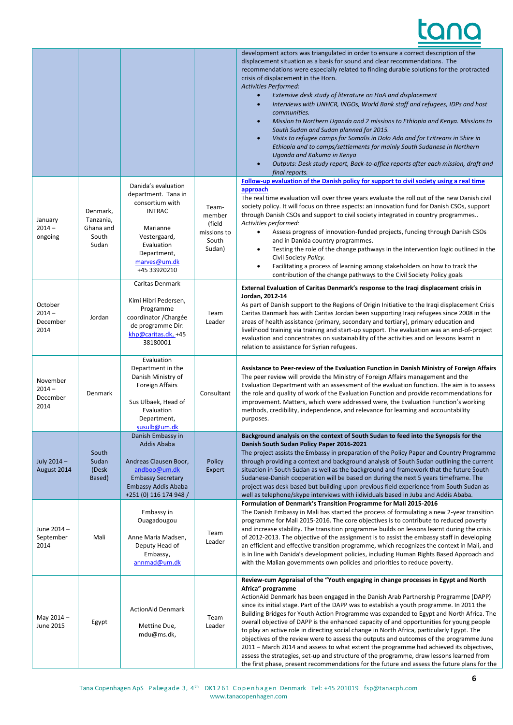٦

|                                          |                                                      |                                                                                                                                                                         |                                                             | development actors was triangulated in order to ensure a correct description of the<br>displacement situation as a basis for sound and clear recommendations. The<br>recommendations were especially related to finding durable solutions for the protracted<br>crisis of displacement in the Horn.<br>Activities Performed:<br>Extensive desk study of literature on HoA and displacement<br>$\bullet$<br>Interviews with UNHCR, INGOs, World Bank staff and refugees, IDPs and host<br>$\bullet$<br>communities.<br>Mission to Northern Uganda and 2 missions to Ethiopia and Kenya. Missions to<br>$\bullet$<br>South Sudan and Sudan planned for 2015.<br>Visits to refugee camps for Somalis in Dolo Ado and for Eritreans in Shire in<br>$\bullet$<br>Ethiopia and to camps/settlements for mainly South Sudanese in Northern<br>Uganda and Kakuma in Kenya<br>Outputs: Desk study report, Back-to-office reports after each mission, draft and<br>$\bullet$<br>final reports. |
|------------------------------------------|------------------------------------------------------|-------------------------------------------------------------------------------------------------------------------------------------------------------------------------|-------------------------------------------------------------|--------------------------------------------------------------------------------------------------------------------------------------------------------------------------------------------------------------------------------------------------------------------------------------------------------------------------------------------------------------------------------------------------------------------------------------------------------------------------------------------------------------------------------------------------------------------------------------------------------------------------------------------------------------------------------------------------------------------------------------------------------------------------------------------------------------------------------------------------------------------------------------------------------------------------------------------------------------------------------------|
| January<br>$2014 -$<br>ongoing           | Denmark,<br>Tanzania,<br>Ghana and<br>South<br>Sudan | Danida's evaluation<br>department. Tana in<br>consortium with<br><b>INTRAC</b><br>Marianne<br>Vestergaard,<br>Evaluation<br>Department,<br>marves@um.dk<br>+45 33920210 | Team-<br>member<br>(field<br>missions to<br>South<br>Sudan) | Follow-up evaluation of the Danish policy for support to civil society using a real time<br>approach<br>The real time evaluation will over three years evaluate the roll out of the new Danish civil<br>society policy. It will focus on three aspects: an innovation fund for Danish CSOs, support<br>through Danish CSOs and support to civil society integrated in country programmes<br>Activities performed:<br>Assess progress of innovation-funded projects, funding through Danish CSOs<br>٠<br>and in Danida country programmes.<br>Testing the role of the change pathways in the intervention logic outlined in the<br>$\bullet$<br>Civil Society Policy.<br>Facilitating a process of learning among stakeholders on how to track the<br>$\bullet$<br>contribution of the change pathways to the Civil Society Policy goals                                                                                                                                              |
| October<br>$2014 -$<br>December<br>2014  | Jordan                                               | Caritas Denmark<br>Kimi Hibri Pedersen,<br>Programme<br>coordinator / Chargée<br>de programme Dir:<br>khp@caritas.dk, +45<br>38180001                                   | Team<br>Leader                                              | External Evaluation of Caritas Denmark's response to the Iraqi displacement crisis in<br>Jordan, 2012-14<br>As part of Danish support to the Regions of Origin Initiative to the Iraqi displacement Crisis<br>Caritas Danmark has with Caritas Jordan been supporting Iraqi refugees since 2008 in the<br>areas of health assistance (primary, secondary and tertiary), primary education and<br>livelihood training via training and start-up support. The evaluation was an end-of-project<br>evaluation and concentrates on sustainability of the activities and on lessons learnt in<br>relation to assistance for Syrian refugees.                                                                                                                                                                                                                                                                                                                                              |
| November<br>$2014 -$<br>December<br>2014 | Denmark                                              | Evaluation<br>Department in the<br>Danish Ministry of<br><b>Foreign Affairs</b><br>Sus Ulbaek, Head of<br>Evaluation<br>Department,<br>susulb@um.dk                     | Consultant                                                  | Assistance to Peer-review of the Evaluation Function in Danish Ministry of Foreign Affairs<br>The peer review will provide the Ministry of Foreign Affairs management and the<br>Evaluation Department with an assessment of the evaluation function. The aim is to assess<br>the role and quality of work of the Evaluation Function and provide recommendations for<br>improvement. Matters, which were addressed were, the Evaluation Function's working<br>methods, credibility, independence, and relevance for learning and accountability<br>purposes.                                                                                                                                                                                                                                                                                                                                                                                                                        |
| July 2014-<br>August 2014                | South<br>Sudan<br>(Desk<br>Based)                    | Danish Embassy in<br>Addis Ababa<br>Andreas Clausen Boor,<br>andboo@um.dk<br><b>Embassy Secretary</b><br>Embassy Addis Ababa<br>+251 (0) 116 174 948 /                  | Policy<br>Expert                                            | Background analysis on the context of South Sudan to feed into the Synopsis for the<br>Danish South Sudan Policy Paper 2016-2021<br>The project assists the Embassy in preparation of the Policy Paper and Country Programme<br>through providing a context and background analysis of South Sudan outlining the current<br>situation in South Sudan as well as the background and framework that the future South<br>Sudanese-Danish cooperation will be based on during the next 5 years timeframe. The<br>project was desk based but building upon previous field experience from South Sudan as<br>well as telephone/skype interviews with iidividuals based in Juba and Addis Ababa.                                                                                                                                                                                                                                                                                            |
| June 2014-<br>September<br>2014          | Mali                                                 | Embassy in<br>Ouagadougou<br>Anne Maria Madsen,<br>Deputy Head of<br>Embassy,<br>annmad@um.dk                                                                           | Team<br>Leader                                              | Formulation of Denmark's Transition Programme for Mali 2015-2016<br>The Danish Embassy in Mali has started the process of formulating a new 2-year transition<br>programme for Mali 2015-2016. The core objectives is to contribute to reduced poverty<br>and increase stability. The transition programme builds on lessons learnt during the crisis<br>of 2012-2013. The objective of the assignment is to assist the embassy staff in developing<br>an efficient and effective transition programme, which recognizes the context in Mali, and<br>is in line with Danida's development policies, including Human Rights Based Approach and<br>with the Malian governments own policies and priorities to reduce poverty.                                                                                                                                                                                                                                                          |
| May 2014 -<br>June 2015                  | Egypt                                                | <b>ActionAid Denmark</b><br>Mettine Due,<br>mdu@ms.dk,                                                                                                                  | Team<br>Leader                                              | Review-cum Appraisal of the "Youth engaging in change processes in Egypt and North<br>Africa" programme<br>ActionAid Denmark has been engaged in the Danish Arab Partnership Programme (DAPP)<br>since its initial stage. Part of the DAPP was to establish a youth programme. In 2011 the<br>Building Bridges for Youth Action Programme was expanded to Egypt and North Africa. The<br>overall objective of DAPP is the enhanced capacity of and opportunities for young people<br>to play an active role in directing social change in North Africa, particularly Egypt. The<br>objectives of the review were to assess the outputs and outcomes of the programme June<br>2011 - March 2014 and assess to what extent the programme had achieved its objectives,<br>assess the strategies, set-up and structure of the programme, draw lessons learned from<br>the first phase, present recommendations for the future and assess the future plans for the                        |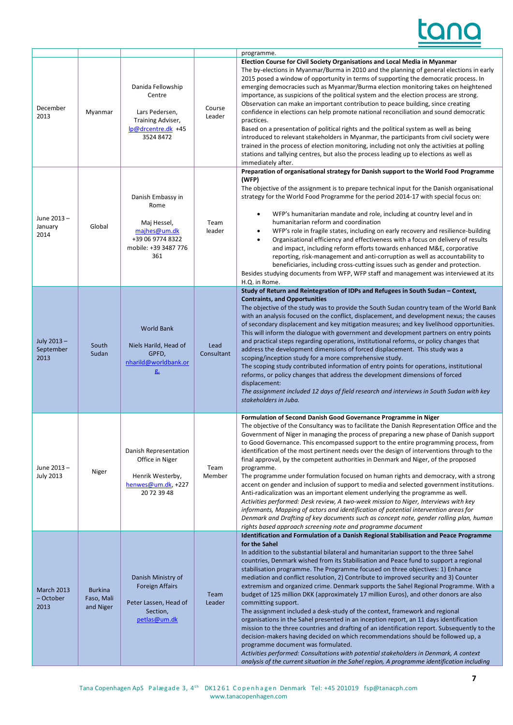# tar

| December<br>2013                       | Myanmar                                   | Danida Fellowship<br>Centre<br>Lars Pedersen,<br>Training Adviser,<br>lp@drcentre.dk +45<br>3524 8472       | Course<br>Leader   | programme.<br>Election Course for Civil Society Organisations and Local Media in Myanmar<br>The by-elections in Myanmar/Burma in 2010 and the planning of general elections in early<br>2015 posed a window of opportunity in terms of supporting the democratic process. In<br>emerging democracies such as Myanmar/Burma election monitoring takes on heightened<br>importance, as suspicions of the political system and the election process are strong.<br>Observation can make an important contribution to peace building, since creating<br>confidence in elections can help promote national reconciliation and sound democratic<br>practices.<br>Based on a presentation of political rights and the political system as well as being<br>introduced to relevant stakeholders in Myanmar, the participants from civil society were<br>trained in the process of election monitoring, including not only the activities at polling<br>stations and tallying centres, but also the process leading up to elections as well as<br>immediately after.                                                                                                                                                                                                          |
|----------------------------------------|-------------------------------------------|-------------------------------------------------------------------------------------------------------------|--------------------|----------------------------------------------------------------------------------------------------------------------------------------------------------------------------------------------------------------------------------------------------------------------------------------------------------------------------------------------------------------------------------------------------------------------------------------------------------------------------------------------------------------------------------------------------------------------------------------------------------------------------------------------------------------------------------------------------------------------------------------------------------------------------------------------------------------------------------------------------------------------------------------------------------------------------------------------------------------------------------------------------------------------------------------------------------------------------------------------------------------------------------------------------------------------------------------------------------------------------------------------------------------------|
| June 2013-<br>January<br>2014          | Global                                    | Danish Embassy in<br>Rome<br>Maj Hessel,<br>majhes@um.dk<br>+39 06 9774 8322<br>mobile: +39 3487 776<br>361 | Team<br>leader     | Preparation of organisational strategy for Danish support to the World Food Programme<br>(WFP)<br>The objective of the assignment is to prepare technical input for the Danish organisational<br>strategy for the World Food Programme for the period 2014-17 with special focus on:<br>WFP's humanitarian mandate and role, including at country level and in<br>٠<br>humanitarian reform and coordination<br>WFP's role in fragile states, including on early recovery and resilience-building<br>$\bullet$<br>Organisational efficiency and effectiveness with a focus on delivery of results<br>$\bullet$<br>and impact, including reform efforts towards enhanced M&E, corporative<br>reporting, risk-management and anti-corruption as well as accountability to<br>beneficiaries, including cross-cutting issues such as gender and protection.<br>Besides studying documents from WFP, WFP staff and management was interviewed at its<br>H.Q. in Rome.                                                                                                                                                                                                                                                                                                      |
| July 2013-<br>September<br>2013        | South<br>Sudan                            | <b>World Bank</b><br>Niels Harild, Head of<br>GPFD,<br>nharild@worldbank.or<br>$g_{\rm z}$                  | Lead<br>Consultant | Study of Return and Reintegration of IDPs and Refugees in South Sudan - Context,<br><b>Contraints, and Opportunities</b><br>The objective of the study was to provide the South Sudan country team of the World Bank<br>with an analysis focused on the conflict, displacement, and development nexus; the causes<br>of secondary displacement and key mitigation measures; and key livelihood opportunities.<br>This will inform the dialogue with government and development partners on entry points<br>and practical steps regarding operations, institutional reforms, or policy changes that<br>address the development dimensions of forced displacement. This study was a<br>scoping/inception study for a more comprehensive study.<br>The scoping study contributed information of entry points for operations, institutional<br>reforms, or policy changes that address the development dimensions of forced<br>displacement:<br>The assignment included 12 days of field research and interviews in South Sudan with key<br>stakeholders in Juba.                                                                                                                                                                                                        |
| June 2013-<br><b>July 2013</b>         | Niger                                     | Danish Representation<br>Office in Niger<br>Henrik Westerby,<br>henwes@um.dk, +227<br>20 72 39 48           | Team<br>Member     | Formulation of Second Danish Good Governance Programme in Niger<br>The objective of the Consultancy was to facilitate the Danish Representation Office and the<br>Government of Niger in managing the process of preparing a new phase of Danish support<br>to Good Governance. This encompassed support to the entire programming process, from<br>identification of the most pertinent needs over the design of interventions through to the<br>final approval, by the competent authorities in Denmark and Niger, of the proposed<br>programme.<br>The programme under formulation focused on human rights and democracy, with a strong<br>accent on gender and inclusion of support to media and selected government institutions.<br>Anti-radicalization was an important element underlying the programme as well.<br>Activities performed: Desk review, A two-week mission to Niger, Interviews with key<br>informants, Mapping of actors and identification of potential intervention areas for<br>Denmark and Drafting of key documents such as concept note, gender rolling plan, human<br>rights based approach screening note and programme document                                                                                                     |
| <b>March 2013</b><br>- October<br>2013 | <b>Burkina</b><br>Faso, Mali<br>and Niger | Danish Ministry of<br><b>Foreign Affairs</b><br>Peter Lassen, Head of<br>Section,<br>petlas@um.dk           | Team<br>Leader     | Identification and Formulation of a Danish Regional Stabilisation and Peace Programme<br>for the Sahel<br>In addition to the substantial bilateral and humanitarian support to the three Sahel<br>countries, Denmark wished from its Stabilisation and Peace fund to support a regional<br>stabilisation programme. The Programme focused on three objectives: 1) Enhance<br>mediation and conflict resolution, 2) Contribute to improved security and 3) Counter<br>extremism and organized crime. Denmark supports the Sahel Regional Programme. With a<br>budget of 125 million DKK (approximately 17 million Euros), and other donors are also<br>committing support.<br>The assignment included a desk-study of the context, framework and regional<br>organisations in the Sahel presented in an inception report, an 11 days identification<br>mission to the three countries and drafting of an identification report. Subsequently to the<br>decision-makers having decided on which recommendations should be followed up, a<br>programme document was formulated.<br>Activities performed: Consultations with potential stakeholders in Denmark, A context<br>analysis of the current situation in the Sahel region, A programme identification including |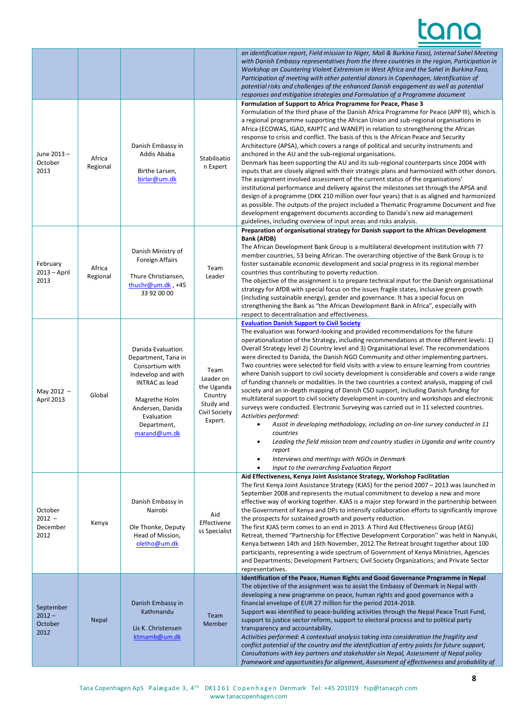## tan

٦

|                                          |                    |                                                                                                                                                                                              |                                                                                     | an identification report, Field mission to Niger, Mali & Burkina Faso), Internal Sahel Meeting<br>with Danish Embassy representatives from the three countries in the region, Participation in<br>Workshop on Countering Violent Extremism in West Africa and the Sahel in Burkina Faso,<br>Participation of meeting with other potential donors in Copenhagen, Identification of<br>potential risks and challenges of the enhanced Danish engagement as well as potential<br>responses and mitigation strategies and Formulation of a Programme document                                                                                                                                                                                                                                                                                                                                                                                                                                                                                                                                                                                                                                                                                                                                                                             |
|------------------------------------------|--------------------|----------------------------------------------------------------------------------------------------------------------------------------------------------------------------------------------|-------------------------------------------------------------------------------------|---------------------------------------------------------------------------------------------------------------------------------------------------------------------------------------------------------------------------------------------------------------------------------------------------------------------------------------------------------------------------------------------------------------------------------------------------------------------------------------------------------------------------------------------------------------------------------------------------------------------------------------------------------------------------------------------------------------------------------------------------------------------------------------------------------------------------------------------------------------------------------------------------------------------------------------------------------------------------------------------------------------------------------------------------------------------------------------------------------------------------------------------------------------------------------------------------------------------------------------------------------------------------------------------------------------------------------------|
| June 2013-<br>October<br>2013            | Africa<br>Regional | Danish Embassy in<br>Addis Ababa<br>Birthe Larsen,<br>birlar@um.dk                                                                                                                           | Stabilisatio<br>n Expert                                                            | Formulation of Support to Africa Programme for Peace, Phase 3<br>Formulation of the third phase of the Danish Africa Programme for Peace (APP III), which is<br>a regional programme supporting the African Union and sub-regional organisations in<br>Africa (ECOWAS, IGAD, KAIPTC and WANEP) in relation to strengthening the African<br>response to crisis and conflict. The basis of this is the African Peace and Security<br>Architecture (APSA), which covers a range of political and security instruments and<br>anchored in the AU and the sub-regional organisations.<br>Denmark has been supporting the AU and its sub-regional counterparts since 2004 with<br>inputs that are closely aligned with their strategic plans and harmonized with other donors.<br>The assignment involved assessment of the current status of the organisations'<br>institutional performance and delivery against the milestones set through the APSA and<br>design of a programme (DKK 210 million over four years) that is as aligned and harmonized<br>as possible. The outputs of the project included a Thematic Programme Document and five<br>development engagement documents according to Danida's new aid management<br>guidelines, including overview of input areas and risks analysis.                                        |
| February<br>$2013 - April$<br>2013       | Africa<br>Regional | Danish Ministry of<br><b>Foreign Affairs</b><br>Thure Christiansen,<br>thuchr@um.dk, $+45$<br>33 92 00 00                                                                                    | Team<br>Leader                                                                      | Preparation of organisational strategy for Danish support to the African Development<br>Bank (AfDB)<br>The African Development Bank Group is a multilateral development institution with 77<br>member countries, 53 being African. The overarching objective of the Bank Group is to<br>foster sustainable economic development and social progress in its regional member<br>countries thus contributing to poverty reduction.<br>The objective of the assignment is to prepare technical input for the Danish organisational<br>strategy for AfDB with special focus on the issues fragile states, inclusive green growth<br>(including sustainable energy), gender and governance. It has a special focus on<br>strengthening the Bank as "the African Development Bank in Africa", especially with<br>respect to decentralisation and effectiveness.                                                                                                                                                                                                                                                                                                                                                                                                                                                                              |
| May 2012 -<br>April 2013                 | Global             | Danida Evaluation<br>Department, Tana in<br>Consortium with<br>Indevelop and with<br><b>INTRAC</b> as lead<br>Magrethe Holm<br>Andersen, Danida<br>Evaluation<br>Department,<br>marand@um.dk | Team<br>Leader on<br>the Uganda<br>Country<br>Study and<br>Civil Society<br>Expert. | <b>Evaluation Danish Support to Civil Society</b><br>The evaluation was forward-looking and provided recommendations for the future<br>operationalization of the Strategy, including recommendations at three different levels: 1)<br>Overall Strategy level 2) Country level and 3) Organisational level. The recommendations<br>were directed to Danida, the Danish NGO Community and other implementing partners.<br>Two countries were selected for field visits with a view to ensure learning from countries<br>where Danish support to civil society development is considerable and covers a wide range<br>of funding channels or modalities. In the two countries a context analysis, mapping of civil<br>society and an in-depth mapping of Danish CSO support, including Danish funding for<br>multilateral support to civil society development in-country and workshops and electronic<br>surveys were conducted. Electronic Surveying was carried out in 11 selected countries.<br>Activities performed:<br>Assist in developing methodology, including an on-line survey conducted in 11<br>$\bullet$<br>countries<br>Leading the field mission team and country studies in Uganda and write country<br>٠<br>report<br>Interviews and meetings with NGOs in Denmark<br>٠<br>Input to the overarching Evaluation Report |
| October<br>$2012 -$<br>December<br>2012  | Kenya              | Danish Embassy in<br>Nairobi<br>Ole Thonke, Deputy<br>Head of Mission,<br>oletho@um.dk                                                                                                       | Aid<br>Effectivene<br>ss Specialist                                                 | Aid Effectiveness, Kenya Joint Assistance Strategy, Workshop Facilitation<br>The first Kenya Joint Assistance Strategy (KJAS) for the period 2007 - 2013 was launched in<br>September 2008 and represents the mutual commitment to develop a new and more<br>effective way of working together. KJAS is a major step forward in the partnership between<br>the Government of Kenya and DPs to intensify collaboration efforts to significantly improve<br>the prospects for sustained growth and poverty reduction.<br>The first KJAS term comes to an end in 2013. A Third Aid Effectiveness Group (AEG)<br>Retreat, themed "Partnership for Effective Development Corporation" was held in Nanyuki,<br>Kenya between 14th and 16th November, 2012. The Retreat brought together about 100<br>participants, representing a wide spectrum of Government of Kenya Ministries, Agencies<br>and Departments; Development Partners; Civil Society Organizations; and Private Sector<br>representatives.                                                                                                                                                                                                                                                                                                                                   |
| September<br>$2012 -$<br>October<br>2012 | <b>Nepal</b>       | Danish Embassy in<br>Kathmandu<br>Lis K. Christensen<br>ktmamb@um.dk                                                                                                                         | Team<br>Member                                                                      | Identification of the Peace, Human Rights and Good Governance Programme in Nepal<br>The objective of the assignment was to assist the Embassy of Denmark in Nepal with<br>developing a new programme on peace, human rights and good governance with a<br>financial envelope of EUR 27 million for the period 2014-2018.<br>Support was identified to peace-building activities through the Nepal Peace Trust Fund,<br>support to justice sector reform, support to electoral process and to political party<br>transparency and accountability.<br>Activities performed: A contextual analysis taking into consideration the fragility and<br>conflict potential of the country and the identification of entry points for future support,<br>Consultations with key partners and stakeholder sin Nepal, Assessment of Nepal policy<br>framework and opportunities for alignment, Assessment of effectiveness and probability of                                                                                                                                                                                                                                                                                                                                                                                                     |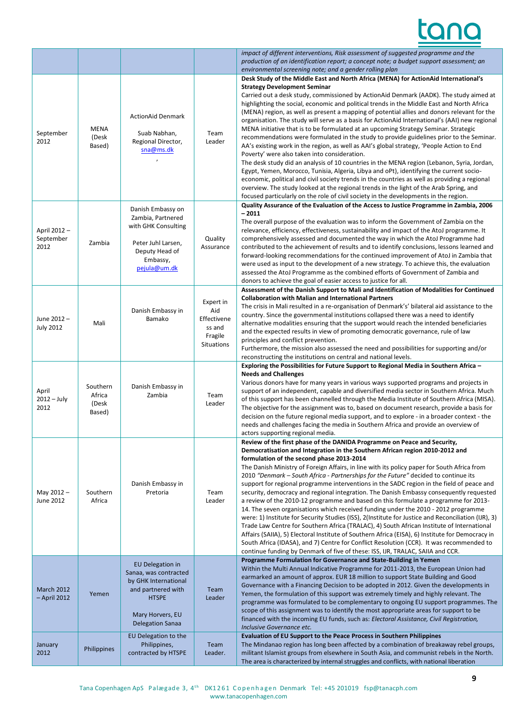|                                   |                                       |                                                                                                                                                               |                                                                           | impact of different interventions, Risk assessment of suggested programme and the<br>production of an identification report; a concept note; a budget support assessment; an<br>environmental screening note; and a gender rolling plan                                                                                                                                                                                                                                                                                                                                                                                                                                                                                                                                                                                                                                                                                                                                                                                                                                                                                                                                                                                                                                                                                         |
|-----------------------------------|---------------------------------------|---------------------------------------------------------------------------------------------------------------------------------------------------------------|---------------------------------------------------------------------------|---------------------------------------------------------------------------------------------------------------------------------------------------------------------------------------------------------------------------------------------------------------------------------------------------------------------------------------------------------------------------------------------------------------------------------------------------------------------------------------------------------------------------------------------------------------------------------------------------------------------------------------------------------------------------------------------------------------------------------------------------------------------------------------------------------------------------------------------------------------------------------------------------------------------------------------------------------------------------------------------------------------------------------------------------------------------------------------------------------------------------------------------------------------------------------------------------------------------------------------------------------------------------------------------------------------------------------|
| September<br>2012                 | <b>MENA</b><br>(Desk<br>Based)        | <b>ActionAid Denmark</b><br>Suab Nabhan,<br>Regional Director,<br>sna@ms.dk                                                                                   | Team<br>Leader                                                            | Desk Study of the Middle East and North Africa (MENA) for ActionAid International's<br><b>Strategy Development Seminar</b><br>Carried out a desk study, commissioned by ActionAid Denmark (AADK). The study aimed at<br>highlighting the social, economic and political trends in the Middle East and North Africa<br>(MENA) region, as well as present a mapping of potential allies and donors relevant for the<br>organisation. The study will serve as a basis for ActionAid International's (AAI) new regional<br>MENA initiative that is to be formulated at an upcoming Strategy Seminar. Strategic<br>recommendations were formulated in the study to provide guidelines prior to the Seminar.<br>AA's existing work in the region, as well as AAI's global strategy, 'People Action to End<br>Poverty' were also taken into consideration.<br>The desk study did an analysis of 10 countries in the MENA region (Lebanon, Syria, Jordan,<br>Egypt, Yemen, Morocco, Tunisia, Algeria, Libya and oPt), identifying the current socio-<br>economic, political and civil society trends in the countries as well as providing a regional<br>overview. The study looked at the regional trends in the light of the Arab Spring, and<br>focused particularly on the role of civil society in the developments in the region. |
| April 2012 -<br>September<br>2012 | Zambia                                | Danish Embassy on<br>Zambia, Partnered<br>with GHK Consulting<br>Peter Juhl Larsen,<br>Deputy Head of<br>Embassy,<br>pejula@um.dk                             | Quality<br>Assurance                                                      | Quality Assurance of the Evaluation of the Access to Justice Programme in Zambia, 2006<br>$-2011$<br>The overall purpose of the evaluation was to inform the Government of Zambia on the<br>relevance, efficiency, effectiveness, sustainability and impact of the AtoJ programme. It<br>comprehensively assessed and documented the way in which the AtoJ Programme had<br>contributed to the achievement of results and to identify conclusions, lessons learned and<br>forward-looking recommendations for the continued improvement of AtoJ in Zambia that<br>were used as input to the development of a new strategy. To achieve this, the evaluation<br>assessed the AtoJ Programme as the combined efforts of Government of Zambia and<br>donors to achieve the goal of easier access to justice for all.                                                                                                                                                                                                                                                                                                                                                                                                                                                                                                                |
| June 2012-<br><b>July 2012</b>    | Mali                                  | Danish Embassy in<br>Bamako                                                                                                                                   | Expert in<br>Aid<br>Effectivene<br>ss and<br>Fragile<br><b>Situations</b> | Assessment of the Danish Support to Mali and Identification of Modalities for Continued<br><b>Collaboration with Malian and International Partners</b><br>The crisis in Mali resulted in a re-organisation of Denmark's' bilateral aid assistance to the<br>country. Since the governmental institutions collapsed there was a need to identify<br>alternative modalities ensuring that the support would reach the intended beneficiaries<br>and the expected results in view of promoting democratic governance, rule of law<br>principles and conflict prevention.<br>Furthermore, the mission also assessed the need and possibilities for supporting and/or<br>reconstructing the institutions on central and national levels.                                                                                                                                                                                                                                                                                                                                                                                                                                                                                                                                                                                             |
| April<br>$2012 - July$<br>2012    | Southern<br>Africa<br>(Desk<br>Based) | Danish Embassy in<br>Zambia                                                                                                                                   | Team<br>Leader                                                            | Exploring the Possibilities for Future Support to Regional Media in Southern Africa -<br><b>Needs and Challenges</b><br>Various donors have for many years in various ways supported programs and projects in<br>support of an independent, capable and diversified media sector in Southern Africa. Much<br>of this support has been channelled through the Media Institute of Southern Africa (MISA).<br>The objective for the assignment was to, based on document research, provide a basis for<br>decision on the future regional media support, and to explore - in a broader context - the<br>needs and challenges facing the media in Southern Africa and provide an overview of<br>actors supporting regional media.                                                                                                                                                                                                                                                                                                                                                                                                                                                                                                                                                                                                   |
| May 2012-<br>June 2012            | Southern<br>Africa                    | Danish Embassy in<br>Pretoria                                                                                                                                 | Team<br>Leader                                                            | Review of the first phase of the DANIDA Programme on Peace and Security,<br>Democratisation and Integration in the Southern African region 2010-2012 and<br>formulation of the second phase 2013-2014<br>The Danish Ministry of Foreign Affairs, in line with its policy paper for South Africa from<br>2010 "Denmark - South Africa - Partnerships for the Future" decided to continue its<br>support for regional programme interventions in the SADC region in the field of peace and<br>security, democracy and regional integration. The Danish Embassy consequently requested<br>a review of the 2010-12 programme and based on this formulate a programme for 2013-<br>14. The seven organisations which received funding under the 2010 - 2012 programme<br>were: 1) Institute for Security Studies (ISS), 2(Institute for Justice and Reconciliation (IJR), 3)<br>Trade Law Centre for Southern Africa (TRALAC), 4) South African Institute of International<br>Affairs (SAIIA), 5) Electoral Institute of Southern Africa (EISA), 6) Institute for Democracy in<br>South Africa (IDASA), and 7) Centre for Conflict Resolution (CCR). It was recommended to<br>continue funding by Denmark of five of these: ISS, IJR, TRALAC, SAIIA and CCR.                                                                         |
| <b>March 2012</b><br>- April 2012 | Yemen                                 | <b>EU Delegation in</b><br>Sanaa, was contracted<br>by GHK International<br>and partnered with<br><b>HTSPE</b><br>Mary Horvers, EU<br><b>Delegation Sanaa</b> | Team<br>Leader                                                            | Programme Formulation for Governance and State-Building in Yemen<br>Within the Multi Annual Indicative Programme for 2011-2013, the European Union had<br>earmarked an amount of approx. EUR 18 million to support State Building and Good<br>Governance with a Financing Decision to be adopted in 2012. Given the developments in<br>Yemen, the formulation of this support was extremely timely and highly relevant. The<br>programme was formulated to be complementary to ongoing EU support programmes. The<br>scope of this assignment was to identify the most appropriate areas for support to be<br>financed with the incoming EU funds, such as: Electoral Assistance, Civil Registration,<br>Inclusive Governance etc.                                                                                                                                                                                                                                                                                                                                                                                                                                                                                                                                                                                              |
| January<br>2012                   | Philippines                           | EU Delegation to the<br>Philippines,<br>contracted by HTSPE                                                                                                   | Team<br>Leader.                                                           | Evaluation of EU Support to the Peace Process in Southern Philippines<br>The Mindanao region has long been affected by a combination of breakaway rebel groups,<br>militant Islamist groups from elsewhere in South Asia, and communist rebels in the North.<br>The area is characterized by internal struggles and conflicts, with national liberation                                                                                                                                                                                                                                                                                                                                                                                                                                                                                                                                                                                                                                                                                                                                                                                                                                                                                                                                                                         |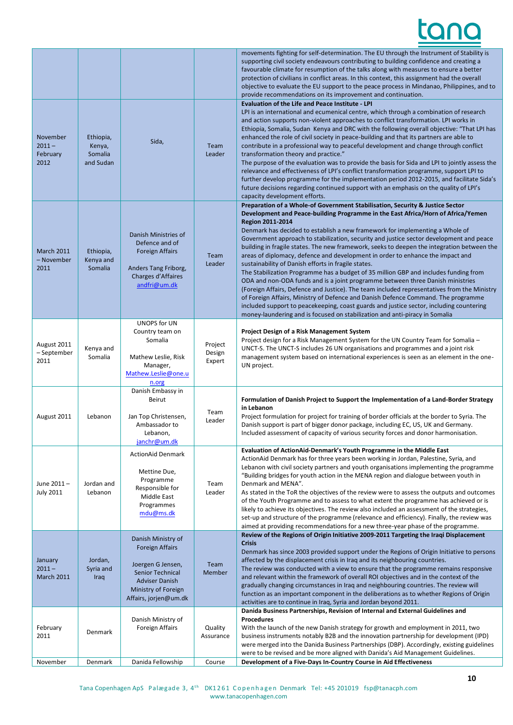|                                          |                                             |                                                                                                                                                                       |                             | movements fighting for self-determination. The EU through the Instrument of Stability is<br>supporting civil society endeavours contributing to building confidence and creating a<br>favourable climate for resumption of the talks along with measures to ensure a better<br>protection of civilians in conflict areas. In this context, this assignment had the overall<br>objective to evaluate the EU support to the peace process in Mindanao, Philippines, and to<br>provide recommendations on its improvement and continuation.                                                                                                                                                                                                                                                                                                                                                                                                                                                                                                                                                                                                               |
|------------------------------------------|---------------------------------------------|-----------------------------------------------------------------------------------------------------------------------------------------------------------------------|-----------------------------|--------------------------------------------------------------------------------------------------------------------------------------------------------------------------------------------------------------------------------------------------------------------------------------------------------------------------------------------------------------------------------------------------------------------------------------------------------------------------------------------------------------------------------------------------------------------------------------------------------------------------------------------------------------------------------------------------------------------------------------------------------------------------------------------------------------------------------------------------------------------------------------------------------------------------------------------------------------------------------------------------------------------------------------------------------------------------------------------------------------------------------------------------------|
| November<br>$2011 -$<br>February<br>2012 | Ethiopia,<br>Kenya,<br>Somalia<br>and Sudan | Sida,                                                                                                                                                                 | Team<br>Leader              | <b>Evaluation of the Life and Peace Institute - LPI</b><br>LPI is an international and ecumenical centre, which through a combination of research<br>and action supports non-violent approaches to conflict transformation. LPI works in<br>Ethiopia, Somalia, Sudan Kenya and DRC with the following overall objective: "That LPI has<br>enhanced the role of civil society in peace-building and that its partners are able to<br>contribute in a professional way to peaceful development and change through conflict<br>transformation theory and practice."<br>The purpose of the evaluation was to provide the basis for Sida and LPI to jointly assess the<br>relevance and effectiveness of LPI's conflict transformation programme, support LPI to<br>further develop programme for the implementation period 2012-2015, and facilitate Sida's<br>future decisions regarding continued support with an emphasis on the quality of LPI's<br>capacity development efforts.                                                                                                                                                                      |
| <b>March 2011</b><br>- November<br>2011  | Ethiopia,<br>Kenya and<br>Somalia           | Danish Ministries of<br>Defence and of<br><b>Foreign Affairs</b><br>Anders Tang Friborg,<br>Charges d'Affaires<br>andfri@um.dk                                        | Team<br>Leader              | Preparation of a Whole-of Government Stabilisation, Security & Justice Sector<br>Development and Peace-building Programme in the East Africa/Horn of Africa/Yemen<br><b>Region 2011-2014</b><br>Denmark has decided to establish a new framework for implementing a Whole of<br>Government approach to stabilization, security and justice sector development and peace<br>building in fragile states. The new framework, seeks to deepen the integration between the<br>areas of diplomacy, defence and development in order to enhance the impact and<br>sustainability of Danish efforts in fragile states.<br>The Stabilization Programme has a budget of 35 million GBP and includes funding from<br>ODA and non-ODA funds and is a joint programme between three Danish ministries<br>(Foreign Affairs, Defence and Justice). The team included representatives from the Ministry<br>of Foreign Affairs, Ministry of Defence and Danish Defence Command. The programme<br>included support to peacekeeping, coast guards and justice sector, including countering<br>money-laundering and is focused on stabilization and anti-piracy in Somalia |
| August 2011<br>– September<br>2011       | Kenya and<br>Somalia                        | UNOPS for UN<br>Country team on<br>Somalia<br>Mathew Leslie, Risk<br>Manager,<br>Mathew.Leslie@one.u<br>n.org                                                         | Project<br>Design<br>Expert | <b>Project Design of a Risk Management System</b><br>Project design for a Risk Management System for the UN Country Team for Somalia -<br>UNCT-S. The UNCT-S includes 26 UN organisations and programmes and a joint risk<br>management system based on international experiences is seen as an element in the one-<br>UN project.                                                                                                                                                                                                                                                                                                                                                                                                                                                                                                                                                                                                                                                                                                                                                                                                                     |
| August 2011                              | Lebanon                                     | Danish Embassy in<br>Beirut<br>Jan Top Christensen,<br>Ambassador to<br>Lebanon,<br>janchr@um.dk                                                                      | Team<br>Leader              | Formulation of Danish Project to Support the Implementation of a Land-Border Strategy<br>in Lebanon<br>Project formulation for project for training of border officials at the border to Syria. The<br>Danish support is part of bigger donor package, including EC, US, UK and Germany.<br>Included assessment of capacity of various security forces and donor harmonisation.                                                                                                                                                                                                                                                                                                                                                                                                                                                                                                                                                                                                                                                                                                                                                                        |
| June 2011-<br><b>July 2011</b>           | Jordan and<br>Lebanon                       | <b>ActionAid Denmark</b><br>Mettine Due,<br>Programme<br>Responsible for<br>Middle East<br>Programmes<br>mdu@ms.dk                                                    | Team<br>Leader              | Evaluation of ActionAid-Denmark's Youth Programme in the Middle East<br>ActionAid Denmark has for three years been working in Jordan, Palestine, Syria, and<br>Lebanon with civil society partners and youth organisations implementing the programme<br>"Building bridges for youth action in the MENA region and dialogue between youth in<br>Denmark and MENA".<br>As stated in the ToR the objectives of the review were to assess the outputs and outcomes<br>of the Youth Programme and to assess to what extent the programme has achieved or is<br>likely to achieve its objectives. The review also included an assessment of the strategies,<br>set-up and structure of the programme (relevance and efficiency). Finally, the review was<br>aimed at providing recommendations for a new three-year phase of the programme.                                                                                                                                                                                                                                                                                                                 |
| January<br>$2011 -$<br>March 2011        | Jordan,<br>Syria and<br>Iraq                | Danish Ministry of<br><b>Foreign Affairs</b><br>Joergen G Jensen,<br><b>Senior Technical</b><br><b>Adviser Danish</b><br>Ministry of Foreign<br>Affairs, jorjen@um.dk | Team<br>Member              | Review of the Regions of Origin Initiative 2009-2011 Targeting the Iraqi Displacement<br><b>Crisis</b><br>Denmark has since 2003 provided support under the Regions of Origin Initiative to persons<br>affected by the displacement crisis in Iraq and its neighbouring countries.<br>The review was conducted with a view to ensure that the programme remains responsive<br>and relevant within the framework of overall ROI objectives and in the context of the<br>gradually changing circumstances in Iraq and neighbouring countries. The review will<br>function as an important component in the deliberations as to whether Regions of Origin<br>activities are to continue in Iraq, Syria and Jordan beyond 2011.                                                                                                                                                                                                                                                                                                                                                                                                                            |
| February<br>2011                         | Denmark                                     | Danish Ministry of<br>Foreign Affairs                                                                                                                                 | Quality<br>Assurance        | Danida Business Partnerships, Revision of Internal and External Guidelines and<br>Procedures<br>With the launch of the new Danish strategy for growth and employment in 2011, two<br>business instruments notably B2B and the innovation partnership for development (IPD)<br>were merged into the Danida Business Partnerships (DBP). Accordingly, existing guidelines<br>were to be revised and be more aligned with Danida's Aid Management Guidelines.                                                                                                                                                                                                                                                                                                                                                                                                                                                                                                                                                                                                                                                                                             |
| November                                 | Denmark                                     | Danida Fellowship                                                                                                                                                     | Course                      | Development of a Five-Days In-Country Course in Aid Effectiveness                                                                                                                                                                                                                                                                                                                                                                                                                                                                                                                                                                                                                                                                                                                                                                                                                                                                                                                                                                                                                                                                                      |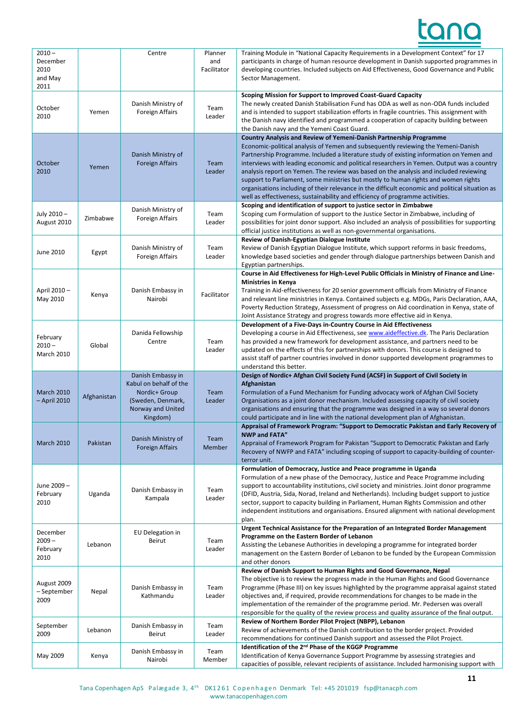# <u>tand</u>

| $2010 -$<br>December<br>2010<br>and May<br>2011 |             | Centre                                                                                                             | Planner<br>and<br>Facilitator | Training Module in "National Capacity Requirements in a Development Context" for 17<br>participants in charge of human resource development in Danish supported programmes in<br>developing countries. Included subjects on Aid Effectiveness, Good Governance and Public<br>Sector Management.                                                                                                                                                                                                                                                                                                                                                                                                                    |
|-------------------------------------------------|-------------|--------------------------------------------------------------------------------------------------------------------|-------------------------------|--------------------------------------------------------------------------------------------------------------------------------------------------------------------------------------------------------------------------------------------------------------------------------------------------------------------------------------------------------------------------------------------------------------------------------------------------------------------------------------------------------------------------------------------------------------------------------------------------------------------------------------------------------------------------------------------------------------------|
| October<br>2010                                 | Yemen       | Danish Ministry of<br>Foreign Affairs                                                                              | Team<br>Leader                | Scoping Mission for Support to Improved Coast-Guard Capacity<br>The newly created Danish Stabilisation Fund has ODA as well as non-ODA funds included<br>and is intended to support stabilization efforts in fragile countries. This assignment with<br>the Danish navy identified and programmed a cooperation of capacity building between<br>the Danish navy and the Yemeni Coast Guard.                                                                                                                                                                                                                                                                                                                        |
| October<br>2010                                 | Yemen       | Danish Ministry of<br><b>Foreign Affairs</b>                                                                       | Team<br>Leader                | Country Analysis and Review of Yemeni-Danish Partnership Programme<br>Economic-political analysis of Yemen and subsequently reviewing the Yemeni-Danish<br>Partnership Programme. Included a literature study of existing information on Yemen and<br>interviews with leading economic and political researchers in Yemen. Output was a country<br>analysis report on Yemen. The review was based on the analysis and included reviewing<br>support to Parliament, some ministries but mostly to human rights and women rights<br>organisations including of their relevance in the difficult economic and political situation as<br>well as effectiveness, sustainability and efficiency of programme activities. |
| July 2010-<br>August 2010                       | Zimbabwe    | Danish Ministry of<br>Foreign Affairs                                                                              | Team<br>Leader                | Scoping and identification of support to justice sector in Zimbabwe<br>Scoping cum Formulation of support to the Justice Sector in Zimbabwe, including of<br>possibilities for joint donor support. Also included an analysis of possibilities for supporting<br>official justice institutions as well as non-governmental organisations.                                                                                                                                                                                                                                                                                                                                                                          |
| June 2010                                       | Egypt       | Danish Ministry of<br>Foreign Affairs                                                                              | Team<br>Leader                | Review of Danish-Egyptian Dialogue Institute<br>Review of Danish Egyptian Dialogue Institute, which support reforms in basic freedoms,<br>knowledge based societies and gender through dialogue partnerships between Danish and<br>Egyptian partnerships.                                                                                                                                                                                                                                                                                                                                                                                                                                                          |
| April 2010 -<br>May 2010                        | Kenya       | Danish Embassy in<br>Nairobi                                                                                       | Facilitator                   | Course in Aid Effectiveness for High-Level Public Officials in Ministry of Finance and Line-<br><b>Ministries in Kenya</b><br>Training in Aid-effectiveness for 20 senior government officials from Ministry of Finance<br>and relevant line ministries in Kenya. Contained subjects e.g. MDGs, Paris Declaration, AAA,<br>Poverty Reduction Strategy, Assessment of progress on Aid coordination in Kenya, state of<br>Joint Assistance Strategy and progress towards more effective aid in Kenya.                                                                                                                                                                                                                |
| February<br>$2010 -$<br><b>March 2010</b>       | Global      | Danida Fellowship<br>Centre                                                                                        | Team<br>Leader                | Development of a Five-Days in-Country Course in Aid Effectiveness<br>Developing a course in Aid Effectiveness, see www.aideffective.dk. The Paris Declaration<br>has provided a new framework for development assistance, and partners need to be<br>updated on the effects of this for partnerships with donors. This course is designed to<br>assist staff of partner countries involved in donor supported development programmes to<br>understand this better.                                                                                                                                                                                                                                                 |
| <b>March 2010</b><br>- April 2010               | Afghanistan | Danish Embassy in<br>Kabul on behalf of the<br>Nordic+ Group<br>(Sweden, Denmark,<br>Norway and United<br>Kingdom) | Team<br>Leader                | Design of Nordic+ Afghan Civil Society Fund (ACSF) in Support of Civil Society in<br>Afghanistan<br>Formulation of a Fund Mechanism for Funding advocacy work of Afghan Civil Society<br>Organisations as a joint donor mechanism. Included assessing capacity of civil society<br>organisations and ensuring that the programme was designed in a way so several donors<br>could participate and in line with the national development plan of Afghanistan.                                                                                                                                                                                                                                                       |
| <b>March 2010</b>                               | Pakistan    | Danish Ministry of<br><b>Foreign Affairs</b>                                                                       | Team<br>Member                | Appraisal of Framework Program: "Support to Democratic Pakistan and Early Recovery of<br><b>NWP and FATA"</b><br>Appraisal of Framework Program for Pakistan "Support to Democratic Pakistan and Early<br>Recovery of NWFP and FATA" including scoping of support to capacity-building of counter-<br>terror unit.                                                                                                                                                                                                                                                                                                                                                                                                 |
| June 2009-<br>February<br>2010                  | Uganda      | Danish Embassy in<br>Kampala                                                                                       | Team<br>Leader                | Formulation of Democracy, Justice and Peace programme in Uganda<br>Formulation of a new phase of the Democracy, Justice and Peace Programme including<br>support to accountability institutions, civil society and ministries. Joint donor programme<br>(DFID, Austria, Sida, Norad, Ireland and Netherlands). Including budget support to justice<br>sector, support to capacity building in Parliament, Human Rights Commission and other<br>independent institutions and organisations. Ensured alignment with national development<br>plan.                                                                                                                                                                    |
| December<br>$2009 -$<br>February<br>2010        | Lebanon     | EU Delegation in<br>Beirut                                                                                         | Team<br>Leader                | Urgent Technical Assistance for the Preparation of an Integrated Border Management<br>Programme on the Eastern Border of Lebanon<br>Assisting the Lebanese Authorities in developing a programme for integrated border<br>management on the Eastern Border of Lebanon to be funded by the European Commission<br>and other donors                                                                                                                                                                                                                                                                                                                                                                                  |
| August 2009<br>- September<br>2009              | Nepal       | Danish Embassy in<br>Kathmandu                                                                                     | Team<br>Leader                | Review of Danish Support to Human Rights and Good Governance, Nepal<br>The objective is to review the progress made in the Human Rights and Good Governance<br>Programme (Phase III) on key issues highlighted by the programme appraisal against stated<br>objectives and, if required, provide recommendations for changes to be made in the<br>implementation of the remainder of the programme period. Mr. Pedersen was overall<br>responsible for the quality of the review process and quality assurance of the final output.                                                                                                                                                                                |
| September<br>2009                               | Lebanon     | Danish Embassy in<br>Beirut                                                                                        | Team<br>Leader                | Review of Northern Border Pilot Project (NBPP), Lebanon<br>Review of achievements of the Danish contribution to the border project. Provided<br>recommendations for continued Danish support and assessed the Pilot Project.                                                                                                                                                                                                                                                                                                                                                                                                                                                                                       |
| May 2009                                        | Kenya       | Danish Embassy in<br>Nairobi                                                                                       | Team<br>Member                | Identification of the 2 <sup>nd</sup> Phase of the KGGP Programme<br>Identification of Kenya Governance Support Programme by assessing strategies and<br>capacities of possible, relevant recipients of assistance. Included harmonising support with                                                                                                                                                                                                                                                                                                                                                                                                                                                              |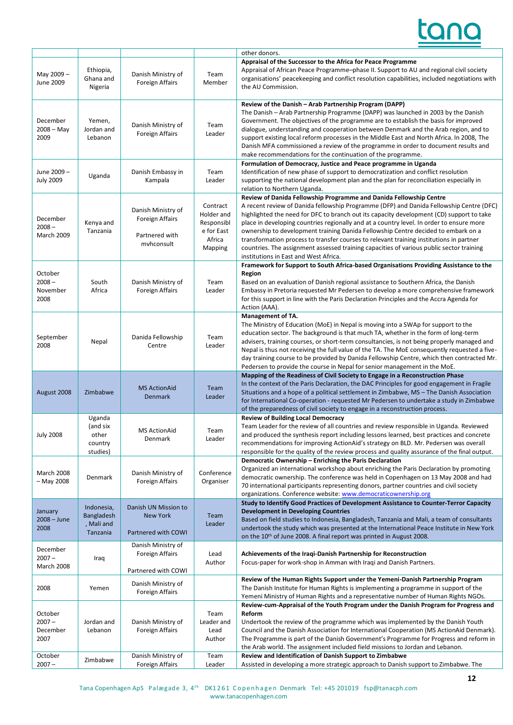### tan

|                                           |                                                    |                                                                              |                                                                         | other donors.                                                                                                                                                                                                                                                                                                                                                                                                                                                                                                                                                                                                                                                              |
|-------------------------------------------|----------------------------------------------------|------------------------------------------------------------------------------|-------------------------------------------------------------------------|----------------------------------------------------------------------------------------------------------------------------------------------------------------------------------------------------------------------------------------------------------------------------------------------------------------------------------------------------------------------------------------------------------------------------------------------------------------------------------------------------------------------------------------------------------------------------------------------------------------------------------------------------------------------------|
| May 2009-<br>June 2009                    | Ethiopia,<br>Ghana and<br>Nigeria                  | Danish Ministry of<br><b>Foreign Affairs</b>                                 | Team<br>Member                                                          | Appraisal of the Successor to the Africa for Peace Programme<br>Appraisal of African Peace Programme-phase II. Support to AU and regional civil society<br>organisations' peacekeeping and conflict resolution capabilities, included negotiations with<br>the AU Commission.                                                                                                                                                                                                                                                                                                                                                                                              |
| December<br>$2008 - May$<br>2009          | Yemen,<br>Jordan and<br>Lebanon                    | Danish Ministry of<br>Foreign Affairs                                        | Team<br>Leader                                                          | Review of the Danish - Arab Partnership Program (DAPP)<br>The Danish - Arab Partnership Programme (DAPP) was launched in 2003 by the Danish<br>Government. The objectives of the programme are to establish the basis for improved<br>dialogue, understanding and cooperation between Denmark and the Arab region, and to<br>support existing local reform processes in the Middle East and North Africa. In 2008, The<br>Danish MFA commissioned a review of the programme in order to document results and<br>make recommendations for the continuation of the programme.                                                                                                |
| June 2009-<br><b>July 2009</b>            | Uganda                                             | Danish Embassy in<br>Kampala                                                 | Team<br>Leader                                                          | Formulation of Democracy, Justice and Peace programme in Uganda<br>Identification of new phase of support to democratization and conflict resolution<br>supporting the national development plan and the plan for reconciliation especially in<br>relation to Northern Uganda.                                                                                                                                                                                                                                                                                                                                                                                             |
| December<br>$2008 -$<br><b>March 2009</b> | Kenya and<br>Tanzania                              | Danish Ministry of<br><b>Foreign Affairs</b><br>Partnered with<br>myhconsult | Contract<br>Holder and<br>Responsibl<br>e for East<br>Africa<br>Mapping | Review of Danida Fellowship Programme and Danida Fellowship Centre<br>A recent review of Danida fellowship Programme (DFP) and Danida Fellowship Centre (DFC)<br>highlighted the need for DFC to branch out its capacity development (CD) support to take<br>place in developing countries regionally and at a country level. In order to ensure more<br>ownership to development training Danida Fellowship Centre decided to embark on a<br>transformation process to transfer courses to relevant training institutions in partner<br>countries. The assignment assessed training capacities of various public sector training<br>institutions in East and West Africa. |
| October<br>$2008 -$<br>November<br>2008   | South<br>Africa                                    | Danish Ministry of<br><b>Foreign Affairs</b>                                 | Team<br>Leader                                                          | Framework for Support to South Africa-based Organisations Providing Assistance to the<br>Region<br>Based on an evaluation of Danish regional assistance to Southern Africa, the Danish<br>Embassy in Pretoria requested Mr Pedersen to develop a more comprehensive framework<br>for this support in line with the Paris Declaration Principles and the Accra Agenda for<br>Action (AAA).                                                                                                                                                                                                                                                                                  |
| September<br>2008                         | Nepal                                              | Danida Fellowship<br>Centre                                                  | Team<br>Leader                                                          | Management of TA.<br>The Ministry of Education (MoE) in Nepal is moving into a SWAp for support to the<br>education sector. The background is that much TA, whether in the form of long-term<br>advisers, training courses, or short-term consultancies, is not being properly managed and<br>Nepal is thus not receiving the full value of the TA. The MoE consequently requested a five-<br>day training course to be provided by Danida Fellowship Centre, which then contracted Mr.<br>Pedersen to provide the course in Nepal for senior management in the MoE.                                                                                                       |
| August 2008                               | Zimbabwe                                           | <b>MS ActionAid</b><br>Denmark                                               | Team<br>Leader                                                          | Mapping of the Readiness of Civil Society to Engage in a Reconstruction Phase<br>In the context of the Paris Declaration, the DAC Principles for good engagement in Fragile<br>Situations and a hope of a political settlement in Zimbabwe, MS - The Danish Association<br>for International Co-operation - requested Mr Pedersen to undertake a study in Zimbabwe<br>of the preparedness of civil society to engage in a reconstruction process.                                                                                                                                                                                                                          |
| <b>July 2008</b>                          | Uganda<br>(and six<br>other<br>country<br>studies) | <b>MS ActionAid</b><br>Denmark                                               | Team<br>Leader                                                          | <b>Review of Building Local Democracy</b><br>Team Leader for the review of all countries and review responsible in Uganda. Reviewed<br>and produced the synthesis report including lessons learned, best practices and concrete<br>recommendations for improving ActionAid's strategy on BLD. Mr. Pedersen was overall<br>responsible for the quality of the review process and quality assurance of the final output.                                                                                                                                                                                                                                                     |
| <b>March 2008</b><br>- May 2008           | Denmark                                            | Danish Ministry of<br><b>Foreign Affairs</b>                                 | Conference<br>Organiser                                                 | Democratic Ownership - Enriching the Paris Declaration<br>Organized an international workshop about enriching the Paris Declaration by promoting<br>democratic ownership. The conference was held in Copenhagen on 13 May 2008 and had<br>70 international participants representing donors, partner countries and civil society<br>organizations. Conference website: www.democraticownership.org                                                                                                                                                                                                                                                                         |
| January<br>$2008 - June$<br>2008          | Indonesia,<br>Bangladesh<br>Mali and<br>Tanzania   | Danish UN Mission to<br>New York<br>Partnered with COWI                      | Team<br>Leader                                                          | Study to Identify Good Practices of Development Assistance to Counter-Terror Capacity<br><b>Development in Developing Countries</b><br>Based on field studies to Indonesia, Bangladesh, Tanzania and Mali, a team of consultants<br>undertook the study which was presented at the International Peace Institute in New York<br>on the 10 <sup>th</sup> of June 2008. A final report was printed in August 2008.                                                                                                                                                                                                                                                           |
| December<br>$2007 -$<br><b>March 2008</b> | Iraq                                               | Danish Ministry of<br><b>Foreign Affairs</b><br>Partnered with COWI          | Lead<br>Author                                                          | Achievements of the Iraqi-Danish Partnership for Reconstruction<br>Focus-paper for work-shop in Amman with Iraqi and Danish Partners.                                                                                                                                                                                                                                                                                                                                                                                                                                                                                                                                      |
| 2008                                      | Yemen                                              | Danish Ministry of<br><b>Foreign Affairs</b>                                 |                                                                         | Review of the Human Rights Support under the Yemeni-Danish Partnership Program<br>The Danish Institute for Human Rights is implementing a programme in support of the<br>Yemeni Ministry of Human Rights and a representative number of Human Rights NGOs.                                                                                                                                                                                                                                                                                                                                                                                                                 |
| October<br>$2007 -$<br>December<br>2007   | Jordan and<br>Lebanon                              | Danish Ministry of<br>Foreign Affairs                                        | Team<br>Leader and<br>Lead<br>Author                                    | Review-cum-Appraisal of the Youth Program under the Danish Program for Progress and<br>Reform<br>Undertook the review of the programme which was implemented by the Danish Youth<br>Council and the Danish Association for International Cooperation (MS ActionAid Denmark).<br>The Programme is part of the Danish Government's Programme for Progress and reform in<br>the Arab world. The assignment included field missions to Jordan and Lebanon.                                                                                                                                                                                                                     |
| October<br>$2007 -$                       | Zimbabwe                                           | Danish Ministry of<br><b>Foreign Affairs</b>                                 | Team<br>Leader                                                          | Review and Identification of Danish Support to Zimbabwe<br>Assisted in developing a more strategic approach to Danish support to Zimbabwe. The                                                                                                                                                                                                                                                                                                                                                                                                                                                                                                                             |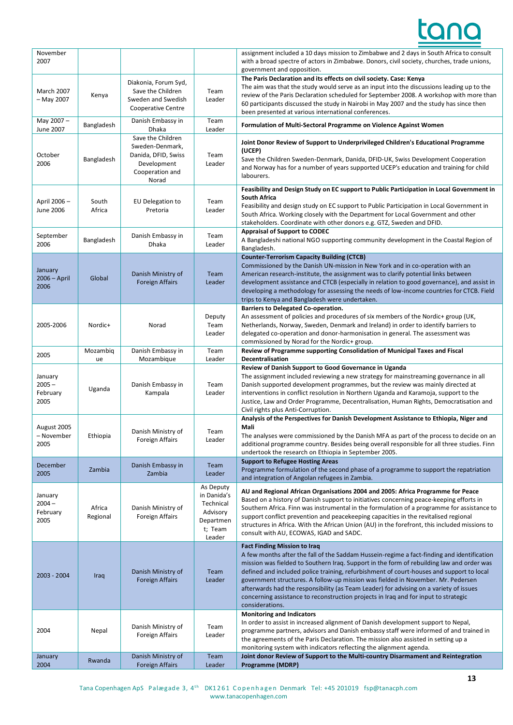

| November<br>2007                        |                    |                                                                                                        |                                                                                     | assignment included a 10 days mission to Zimbabwe and 2 days in South Africa to consult<br>with a broad spectre of actors in Zimbabwe. Donors, civil society, churches, trade unions,<br>government and opposition.                                                                                                                                                                                                                                                                                                                                                                                                |
|-----------------------------------------|--------------------|--------------------------------------------------------------------------------------------------------|-------------------------------------------------------------------------------------|--------------------------------------------------------------------------------------------------------------------------------------------------------------------------------------------------------------------------------------------------------------------------------------------------------------------------------------------------------------------------------------------------------------------------------------------------------------------------------------------------------------------------------------------------------------------------------------------------------------------|
| <b>March 2007</b><br>- May 2007         | Kenya              | Diakonia, Forum Syd,<br>Save the Children<br>Sweden and Swedish<br>Cooperative Centre                  | Team<br>Leader                                                                      | The Paris Declaration and its effects on civil society. Case: Kenya<br>The aim was that the study would serve as an input into the discussions leading up to the<br>review of the Paris Declaration scheduled for September 2008. A workshop with more than<br>60 participants discussed the study in Nairobi in May 2007 and the study has since then<br>been presented at various international conferences.                                                                                                                                                                                                     |
| May 2007-<br>June 2007                  | Bangladesh         | Danish Embassy in<br>Dhaka                                                                             | Team<br>Leader                                                                      | Formulation of Multi-Sectoral Programme on Violence Against Women                                                                                                                                                                                                                                                                                                                                                                                                                                                                                                                                                  |
| October<br>2006                         | Bangladesh         | Save the Children<br>Sweden-Denmark,<br>Danida, DFID, Swiss<br>Development<br>Cooperation and<br>Norad | Team<br>Leader                                                                      | Joint Donor Review of Support to Underprivileged Children's Educational Programme<br>(UCEP)<br>Save the Children Sweden-Denmark, Danida, DFID-UK, Swiss Development Cooperation<br>and Norway has for a number of years supported UCEP's education and training for child<br>labourers.                                                                                                                                                                                                                                                                                                                            |
| April 2006-<br>June 2006                | South<br>Africa    | <b>EU Delegation to</b><br>Pretoria                                                                    | Team<br>Leader                                                                      | Feasibility and Design Study on EC support to Public Participation in Local Government in<br><b>South Africa</b><br>Feasibility and design study on EC support to Public Participation in Local Government in<br>South Africa. Working closely with the Department for Local Government and other<br>stakeholders. Coordinate with other donors e.g. GTZ, Sweden and DFID.                                                                                                                                                                                                                                         |
| September<br>2006                       | Bangladesh         | Danish Embassy in<br>Dhaka                                                                             | Team<br>Leader                                                                      | <b>Appraisal of Support to CODEC</b><br>A Bangladeshi national NGO supporting community development in the Coastal Region of<br>Bangladesh.                                                                                                                                                                                                                                                                                                                                                                                                                                                                        |
| January<br>$2006 - April$<br>2006       | Global             | Danish Ministry of<br><b>Foreign Affairs</b>                                                           | Team<br>Leader                                                                      | <b>Counter-Terrorism Capacity Building (CTCB)</b><br>Commissioned by the Danish UN-mission in New York and in co-operation with an<br>American research-institute, the assignment was to clarify potential links between<br>development assistance and CTCB (especially in relation to good governance), and assist in<br>developing a methodology for assessing the needs of low-income countries for CTCB. Field<br>trips to Kenya and Bangladesh were undertaken.                                                                                                                                               |
| 2005-2006                               | Nordic+            | Norad                                                                                                  | Deputy<br>Team<br>Leader                                                            | <b>Barriers to Delegated Co-operation.</b><br>An assessment of policies and procedures of six members of the Nordic+ group (UK,<br>Netherlands, Norway, Sweden, Denmark and Ireland) in order to identify barriers to<br>delegated co-operation and donor-harmonisation in general. The assessment was<br>commissioned by Norad for the Nordic+ group.                                                                                                                                                                                                                                                             |
| 2005                                    | Mozambiq<br>ue     | Danish Embassy in<br>Mozambique                                                                        | Team<br>Leader                                                                      | Review of Programme supporting Consolidation of Municipal Taxes and Fiscal<br>Decentralisation                                                                                                                                                                                                                                                                                                                                                                                                                                                                                                                     |
| January<br>$2005 -$<br>February<br>2005 | Uganda             | Danish Embassy in<br>Kampala                                                                           | Team<br>Leader                                                                      | Review of Danish Support to Good Governance in Uganda<br>The assignment included reviewing a new strategy for mainstreaming governance in all<br>Danish supported development programmes, but the review was mainly directed at<br>interventions in conflict resolution in Northern Uganda and Karamoja, support to the<br>Justice, Law and Order Programme, Decentralisation, Human Rights, Democratisation and<br>Civil rights plus Anti-Corruption.                                                                                                                                                             |
| August 2005<br>– November<br>2005       | Ethiopia           | Danish Ministry of<br><b>Foreign Affairs</b>                                                           | Team<br>Leader                                                                      | Analysis of the Perspectives for Danish Development Assistance to Ethiopia, Niger and<br>Mali<br>The analyses were commissioned by the Danish MFA as part of the process to decide on an<br>additional programme country. Besides being overall responsible for all three studies. Finn<br>undertook the research on Ethiopia in September 2005.                                                                                                                                                                                                                                                                   |
| December<br>2005                        | Zambia             | Danish Embassy in<br>Zambia                                                                            | Team<br>Leader                                                                      | <b>Support to Refugee Hosting Areas</b><br>Programme formulation of the second phase of a programme to support the repatriation<br>and integration of Angolan refugees in Zambia.                                                                                                                                                                                                                                                                                                                                                                                                                                  |
| January<br>$2004 -$<br>February<br>2005 | Africa<br>Regional | Danish Ministry of<br><b>Foreign Affairs</b>                                                           | As Deputy<br>in Danida's<br>Technical<br>Advisory<br>Departmen<br>t; Team<br>Leader | AU and Regional African Organisations 2004 and 2005: Africa Programme for Peace<br>Based on a history of Danish support to initiatives concerning peace-keeping efforts in<br>Southern Africa. Finn was instrumental in the formulation of a programme for assistance to<br>support conflict prevention and peacekeeping capacities in the revitalised regional<br>structures in Africa. With the African Union (AU) in the forefront, this included missions to<br>consult with AU, ECOWAS, IGAD and SADC.                                                                                                        |
| 2003 - 2004                             | Iraq               | Danish Ministry of<br><b>Foreign Affairs</b>                                                           | Team<br>Leader                                                                      | <b>Fact Finding Mission to Iraq</b><br>A few months after the fall of the Saddam Hussein-regime a fact-finding and identification<br>mission was fielded to Southern Iraq. Support in the form of rebuilding law and order was<br>defined and included police training, refurbishment of court-houses and support to local<br>government structures. A follow-up mission was fielded in November. Mr. Pedersen<br>afterwards had the responsibility (as Team Leader) for advising on a variety of issues<br>concerning assistance to reconstruction projects in Iraq and for input to strategic<br>considerations. |
| 2004                                    | Nepal              | Danish Ministry of<br><b>Foreign Affairs</b>                                                           | Team<br>Leader                                                                      | <b>Monitoring and Indicators</b><br>In order to assist in increased alignment of Danish development support to Nepal,<br>programme partners, advisors and Danish embassy staff were informed of and trained in<br>the agreements of the Paris Declaration. The mission also assisted in setting up a<br>monitoring system with indicators reflecting the alignment agenda.                                                                                                                                                                                                                                         |
| January<br>2004                         | Rwanda             | Danish Ministry of<br><b>Foreign Affairs</b>                                                           | Team<br>Leader                                                                      | Joint donor Review of Support to the Multi-country Disarmament and Reintegration<br><b>Programme (MDRP)</b>                                                                                                                                                                                                                                                                                                                                                                                                                                                                                                        |